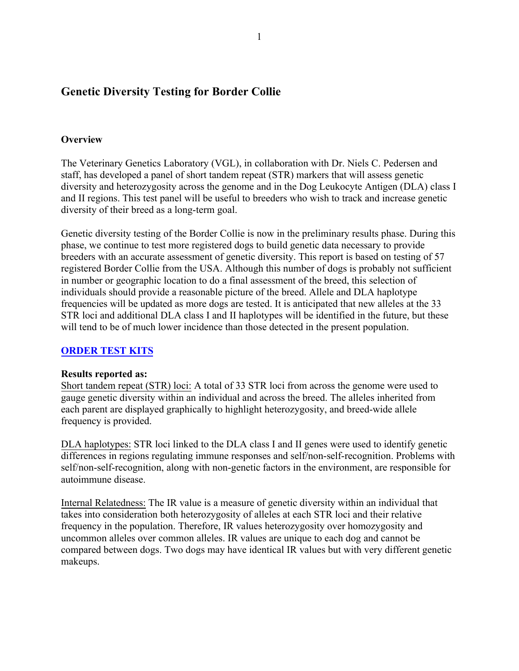# **Genetic Diversity Testing for Border Collie**

### **Overview**

The Veterinary Genetics Laboratory (VGL), in collaboration with Dr. Niels C. Pedersen and staff, has developed a panel of short tandem repeat (STR) markers that will assess genetic diversity and heterozygosity across the genome and in the Dog Leukocyte Antigen (DLA) class I and II regions. This test panel will be useful to breeders who wish to track and increase genetic diversity of their breed as a long-term goal.

Genetic diversity testing of the Border Collie is now in the preliminary results phase. During this phase, we continue to test more registered dogs to build genetic data necessary to provide breeders with an accurate assessment of genetic diversity. This report is based on testing of 57 registered Border Collie from the USA. Although this number of dogs is probably not sufficient in number or geographic location to do a final assessment of the breed, this selection of individuals should provide a reasonable picture of the breed. Allele and DLA haplotype frequencies will be updated as more dogs are tested. It is anticipated that new alleles at the 33 STR loci and additional DLA class I and II haplotypes will be identified in the future, but these will tend to be of much lower incidence than those detected in the present population.

### **[ORDER TEST KITS](https://www.vgl.ucdavis.edu/myvgl/dogsporder.html)**

### **Results reported as:**

Short tandem repeat (STR) loci: A total of 33 STR loci from across the genome were used to gauge genetic diversity within an individual and across the breed. The alleles inherited from each parent are displayed graphically to highlight heterozygosity, and breed-wide allele frequency is provided.

DLA haplotypes: STR loci linked to the DLA class I and II genes were used to identify genetic differences in regions regulating immune responses and self/non-self-recognition. Problems with self/non-self-recognition, along with non-genetic factors in the environment, are responsible for autoimmune disease.

Internal Relatedness: The IR value is a measure of genetic diversity within an individual that takes into consideration both heterozygosity of alleles at each STR loci and their relative frequency in the population. Therefore, IR values heterozygosity over homozygosity and uncommon alleles over common alleles. IR values are unique to each dog and cannot be compared between dogs. Two dogs may have identical IR values but with very different genetic makeups.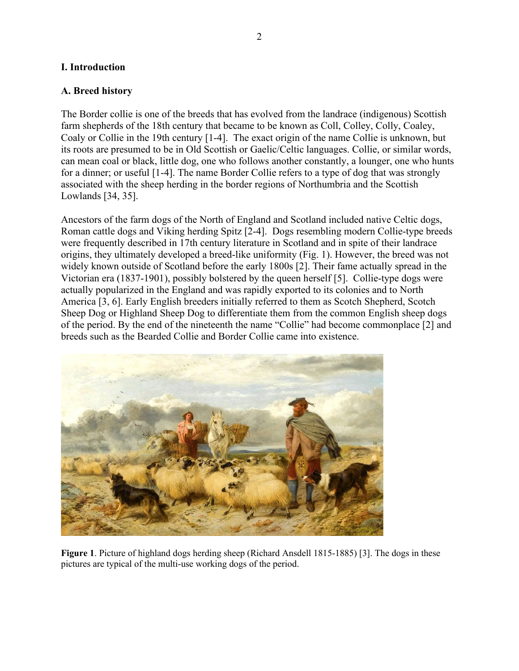### **I. Introduction**

#### **A. Breed history**

The Border collie is one of the breeds that has evolved from the landrace (indigenous) Scottish farm shepherds of the 18th century that became to be known as Coll, Colley, Colly, Coaley, Coaly or Collie in the 19th century [1-4]. The exact origin of the name Collie is unknown, but its roots are presumed to be in Old Scottish or Gaelic/Celtic languages. Collie, or similar words, can mean coal or black, little dog, one who follows another constantly, a lounger, one who hunts for a dinner; or useful [1-4]. The name Border Collie refers to a type of dog that was strongly associated with the sheep herding in the border regions of Northumbria and the Scottish Lowlands [34, 35].

Ancestors of the farm dogs of the North of England and Scotland included native Celtic dogs, Roman cattle dogs and Viking herding Spitz [2-4]. Dogs resembling modern Collie-type breeds were frequently described in 17th century literature in Scotland and in spite of their landrace origins, they ultimately developed a breed-like uniformity (Fig. 1). However, the breed was not widely known outside of Scotland before the early 1800s [2]. Their fame actually spread in the Victorian era (1837-1901), possibly bolstered by the queen herself [5]. Collie-type dogs were actually popularized in the England and was rapidly exported to its colonies and to North America [3, 6]. Early English breeders initially referred to them as Scotch Shepherd, Scotch Sheep Dog or Highland Sheep Dog to differentiate them from the common English sheep dogs of the period. By the end of the nineteenth the name "Collie" had become commonplace [2] and breeds such as the Bearded Collie and Border Collie came into existence.



**Figure 1**. Picture of highland dogs herding sheep (Richard Ansdell 1815-1885) [3]. The dogs in these pictures are typical of the multi-use working dogs of the period.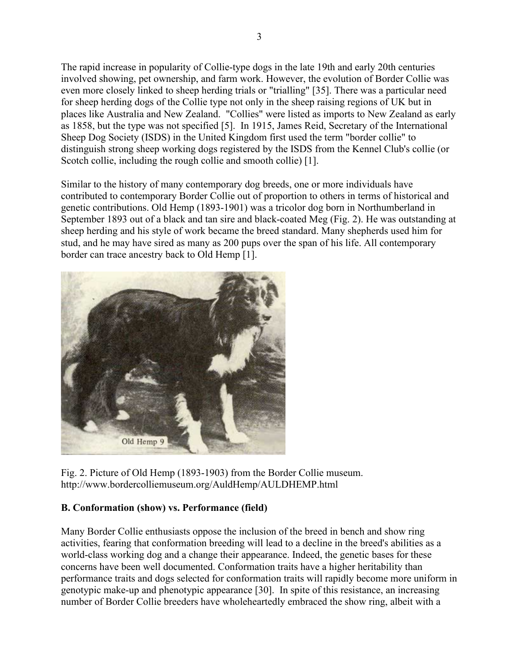The rapid increase in popularity of Collie-type dogs in the late 19th and early 20th centuries involved showing, pet ownership, and farm work. However, the evolution of Border Collie was even more closely linked to sheep herding trials or "trialling" [35]. There was a particular need for sheep herding dogs of the Collie type not only in the sheep raising regions of UK but in places like Australia and New Zealand. "Collies" were listed as imports to New Zealand as early as 1858, but the type was not specified [5]. In 1915, James Reid, Secretary of the International Sheep Dog Society (ISDS) in the United Kingdom first used the term "border collie" to distinguish strong sheep working dogs registered by the ISDS from the Kennel Club's collie (or Scotch collie, including the rough collie and smooth collie) [1].

Similar to the history of many contemporary dog breeds, one or more individuals have contributed to contemporary Border Collie out of proportion to others in terms of historical and genetic contributions. Old Hemp (1893-1901) was a tricolor dog born in Northumberland in September 1893 out of a black and tan sire and black-coated Meg (Fig. 2). He was outstanding at sheep herding and his style of work became the breed standard. Many shepherds used him for stud, and he may have sired as many as 200 pups over the span of his life. All contemporary border can trace ancestry back to Old Hemp [1].



Fig. 2. Picture of Old Hemp (1893-1903) from the Border Collie museum. http://www.bordercolliemuseum.org/AuldHemp/AULDHEMP.html

# **B. Conformation (show) vs. Performance (field)**

Many Border Collie enthusiasts oppose the inclusion of the breed in bench and show ring activities, fearing that conformation breeding will lead to a decline in the breed's abilities as a world-class working dog and a change their appearance. Indeed, the genetic bases for these concerns have been well documented. Conformation traits have a higher heritability than performance traits and dogs selected for conformation traits will rapidly become more uniform in genotypic make-up and phenotypic appearance [30]. In spite of this resistance, an increasing number of Border Collie breeders have wholeheartedly embraced the show ring, albeit with a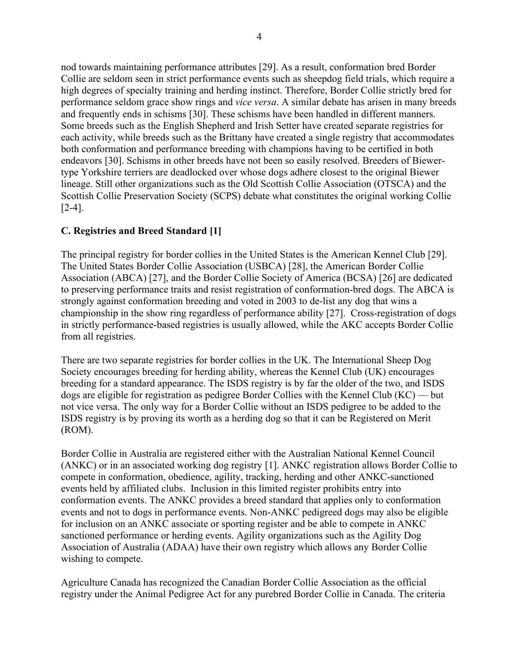nod towards maintaining performance attributes [29]. As a result, conformation bred Border Collie are seldom seen in strict performance events such as sheepdog field trials, which require a high degrees of specialty training and herding instinct. Therefore, Border Collie strictly bred for performance seldom grace show rings and *vice versa*. A similar debate has arisen in many breeds and frequently ends in schisms [30]. These schisms have been handled in different manners. Some breeds such as the English Shepherd and Irish Setter have created separate registries for each activity, while breeds such as the Brittany have created a single registry that accommodates both conformation and performance breeding with champions having to be certified in both endeavors [30]. Schisms in other breeds have not been so easily resolved. Breeders of Biewertype Yorkshire terriers are deadlocked over whose dogs adhere closest to the original Biewer lineage. Still other organizations such as the Old Scottish Collie Association (OTSCA) and the Scottish Collie Preservation Society (SCPS) debate what constitutes the original working Collie [2-4].

## **C. Registries and Breed Standard [1]**

The principal registry for border collies in the United States is the American Kennel Club [29]. The United States Border Collie Association (USBCA) [28], the American Border Collie Association (ABCA) [27], and the Border Collie Society of America (BCSA) [26] are dedicated to preserving performance traits and resist registration of conformation-bred dogs. The ABCA is strongly against conformation breeding and voted in 2003 to de-list any dog that wins a championship in the show ring regardless of performance ability [27]. Cross-registration of dogs in strictly performance-based registries is usually allowed, while the AKC accepts Border Collie from all registries.

There are two separate registries for border collies in the UK. The International Sheep Dog Society encourages breeding for herding ability, whereas the Kennel Club (UK) encourages breeding for a standard appearance. The ISDS registry is by far the older of the two, and ISDS dogs are eligible for registration as pedigree Border Collies with the Kennel Club (KC) — but not vice versa. The only way for a Border Collie without an ISDS pedigree to be added to the ISDS registry is by proving its worth as a herding dog so that it can be Registered on Merit (ROM).

Border Collie in Australia are registered either with the Australian National Kennel Council (ANKC) or in an associated working dog registry [1]. ANKC registration allows Border Collie to compete in conformation, obedience, agility, tracking, herding and other ANKC-sanctioned events held by affiliated clubs. Inclusion in this limited register prohibits entry into conformation events. The ANKC provides a breed standard that applies only to conformation events and not to dogs in performance events. Non-ANKC pedigreed dogs may also be eligible for inclusion on an ANKC associate or sporting register and be able to compete in ANKC sanctioned performance or herding events. Agility organizations such as the Agility Dog Association of Australia (ADAA) have their own registry which allows any Border Collie wishing to compete.

[Agriculture Canada](https://en.wikipedia.org/wiki/Agriculture_and_Agri-Food_Canada) has recognized the Canadian Border Collie Association as the official registry under the Animal Pedigree Act for any purebred Border Collie in Canada. The criteria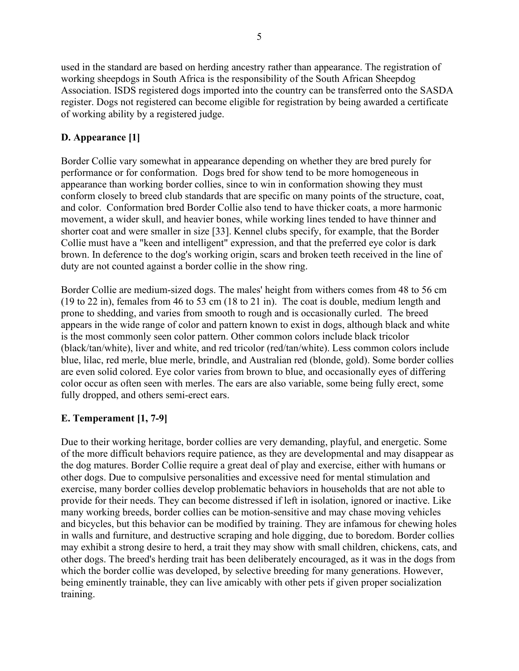used in the standard are based on herding ancestry rather than appearance. The registration of working sheepdogs in [South Africa](https://en.wikipedia.org/wiki/South_Africa) is the responsibility of the [South African Sheepdog](https://en.wikipedia.org/wiki/South_African_Sheepdog_Association)  [Association.](https://en.wikipedia.org/wiki/South_African_Sheepdog_Association) ISDS registered dogs imported into the country can be transferred onto the SASDA register. Dogs not registered can become eligible for registration by being awarded a certificate of working ability by a registered judge.

## **D. Appearance [1]**

Border Collie vary somewhat in appearance depending on whether they are bred purely for performance or for conformation. Dogs bred for show tend to be more homogeneous in appearance than working border collies, since to win in conformation showing they must conform closely to breed club [standards](https://en.wikipedia.org/wiki/Breed_standard_(dogs)) that are specific on many points of the structure, coat, and color. Conformation bred Border Collie also tend to have thicker coats, a more harmonic movement, a wider skull, and heavier bones, while working lines tended to have thinner and shorter coat and were smaller in size [33]. Kennel clubs specify, for example, that the Border Collie must have a "keen and intelligent" expression, and that the preferred eye color is dark brown. In deference to the dog's working origin, scars and broken teeth received in the line of duty are not counted against a border collie in the show ring.

Border Collie are medium-sized dogs. The males' height from withers comes from 48 to 56 cm (19 to 22 in), females from 46 to 53 cm (18 to 21 in). The coat is double, medium length and prone to shedding, and varies from smooth to rough and is occasionally curled. The breed appears in the wide range of color and pattern known to exist in dogs, although black and white is the most commonly seen color pattern. Other common colors include black tricolor (black/tan/white), liver and white, and red tricolor (red/tan/white). Less common colors include blue, lilac, red merle, blue merle, brindle, and Australian red (blonde, gold). Some border collies are even solid colored. Eye color varies from brown to blue, and occasionally eyes of differing color occur as often seen with merles. The ears are also variable, some being fully erect, some fully dropped, and others semi-erect ears.

## **E. Temperament [1, 7-9]**

Due to their working heritage, border collies are very demanding, playful, and energetic. Some of the more difficult behaviors require patience, as they are developmental and may disappear as the dog matures. Border Collie require a great deal of play and exercise, either with humans or other dogs. Due to compulsive personalities and excessive need for mental stimulation and exercise, many border collies develop problematic behaviors in households that are not able to provide for their needs. They can become distressed if left in isolation, ignored or inactive. Like many working breeds, border collies can be motion-sensitive and may chase moving vehicles and bicycles, but this behavior can be modified by training. They are infamous for chewing holes in walls and furniture, and destructive scraping and hole digging, due to boredom. Border collies may exhibit a strong desire to herd, a trait they may show with small children, chickens, cats, and other dogs. The breed's herding trait has been deliberately encouraged, as it was in the dogs from which the border collie was developed, by selective breeding for many generations. However, being eminently trainable, they can live amicably with other pets if given proper socialization training.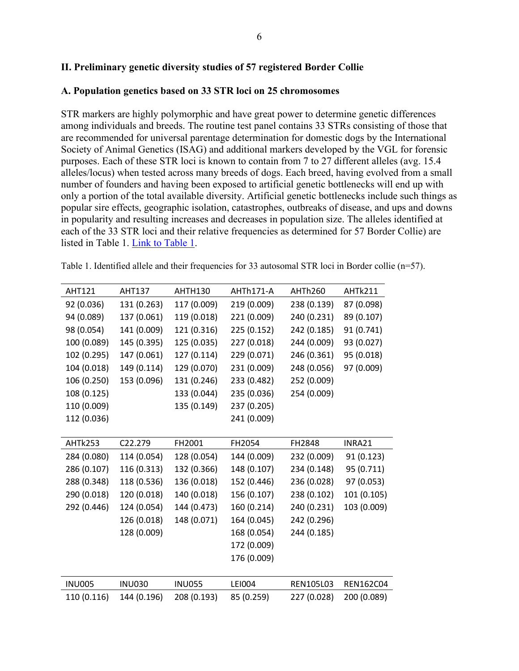### **II. Preliminary genetic diversity studies of 57 registered Border Collie**

#### **A. Population genetics based on 33 STR loci on 25 chromosomes**

STR markers are highly polymorphic and have great power to determine genetic differences among individuals and breeds. The routine test panel contains 33 STRs consisting of those that are recommended for universal parentage determination for domestic dogs by the International Society of Animal Genetics (ISAG) and additional markers developed by the VGL for forensic purposes. Each of these STR loci is known to contain from 7 to 27 different alleles (avg. 15.4 alleles/locus) when tested across many breeds of dogs. Each breed, having evolved from a small number of founders and having been exposed to artificial genetic bottlenecks will end up with only a portion of the total available diversity. Artificial genetic bottlenecks include such things as popular sire effects, geographic isolation, catastrophes, outbreaks of disease, and ups and downs in popularity and resulting increases and decreases in population size. The alleles identified at each of the 33 STR loci and their relative frequencies as determined for 57 Border Collie) are listed in Table 1. [Link to Table 1.](https://www.vgl.ucdavis.edu/services/dog/GeneticDiversityInShilohShepherdSTRInfo.php)

|                    | <b>AHT121</b> | <b>AHT137</b> | AHTH130       | AHTh171-A   | AHTh260     | AHTk211          |  |  |  |
|--------------------|---------------|---------------|---------------|-------------|-------------|------------------|--|--|--|
|                    | 92 (0.036)    | 131 (0.263)   | 117 (0.009)   | 219 (0.009) | 238 (0.139) | 87 (0.098)       |  |  |  |
|                    | 94 (0.089)    | 137 (0.061)   | 119 (0.018)   | 221 (0.009) | 240 (0.231) | 89 (0.107)       |  |  |  |
|                    | 98 (0.054)    | 141 (0.009)   | 121 (0.316)   | 225 (0.152) | 242 (0.185) | 91 (0.741)       |  |  |  |
|                    | 100 (0.089)   | 145 (0.395)   | 125 (0.035)   | 227 (0.018) | 244 (0.009) | 93 (0.027)       |  |  |  |
|                    | 102 (0.295)   | 147 (0.061)   | 127 (0.114)   | 229 (0.071) | 246 (0.361) | 95 (0.018)       |  |  |  |
|                    | 104 (0.018)   | 149 (0.114)   | 129 (0.070)   | 231 (0.009) | 248 (0.056) | 97 (0.009)       |  |  |  |
|                    | 106 (0.250)   | 153 (0.096)   | 131 (0.246)   | 233 (0.482) | 252 (0.009) |                  |  |  |  |
|                    | 108 (0.125)   |               | 133 (0.044)   | 235 (0.036) | 254 (0.009) |                  |  |  |  |
|                    | 110 (0.009)   |               | 135 (0.149)   | 237 (0.205) |             |                  |  |  |  |
|                    | 112 (0.036)   |               |               | 241 (0.009) |             |                  |  |  |  |
|                    |               |               |               |             |             |                  |  |  |  |
| AHTk253<br>C22.279 |               | FH2001        | FH2054        | FH2848      | INRA21      |                  |  |  |  |
|                    | 284 (0.080)   | 114 (0.054)   | 128 (0.054)   | 144 (0.009) | 232 (0.009) | 91 (0.123)       |  |  |  |
|                    | 286 (0.107)   | 116 (0.313)   | 132 (0.366)   | 148 (0.107) | 234 (0.148) | 95 (0.711)       |  |  |  |
|                    | 288 (0.348)   | 118 (0.536)   | 136 (0.018)   | 152 (0.446) | 236 (0.028) | 97 (0.053)       |  |  |  |
|                    | 290 (0.018)   | 120 (0.018)   | 140 (0.018)   | 156 (0.107) | 238 (0.102) | 101 (0.105)      |  |  |  |
|                    | 292 (0.446)   | 124 (0.054)   | 144 (0.473)   | 160 (0.214) | 240 (0.231) | 103 (0.009)      |  |  |  |
|                    |               | 126 (0.018)   | 148 (0.071)   | 164 (0.045) | 242 (0.296) |                  |  |  |  |
|                    |               | 128 (0.009)   |               | 168 (0.054) | 244 (0.185) |                  |  |  |  |
|                    |               |               |               | 172 (0.009) |             |                  |  |  |  |
|                    |               |               |               | 176 (0.009) |             |                  |  |  |  |
|                    |               |               |               |             |             |                  |  |  |  |
|                    | <b>INU005</b> | <b>INU030</b> | <b>INU055</b> | LEI004      | REN105L03   | <b>REN162C04</b> |  |  |  |
|                    | 110 (0.116)   | 144 (0.196)   | 208 (0.193)   | 85 (0.259)  | 227 (0.028) | 200 (0.089)      |  |  |  |
|                    |               |               |               |             |             |                  |  |  |  |

Table 1. Identified allele and their frequencies for 33 autosomal STR loci in Border collie (n=57).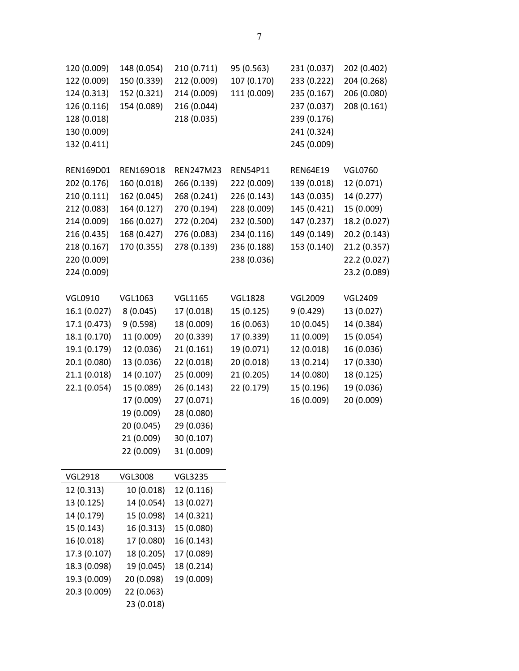| 120 (0.009)    | 148 (0.054)    | 210 (0.711)              | 95 (0.563)      | 231 (0.037)     | 202 (0.402)    |
|----------------|----------------|--------------------------|-----------------|-----------------|----------------|
| 122 (0.009)    | 150 (0.339)    | 212 (0.009)              | 107 (0.170)     | 233 (0.222)     | 204 (0.268)    |
| 124 (0.313)    | 152 (0.321)    | 214 (0.009)              | 111 (0.009)     | 235 (0.167)     | 206 (0.080)    |
| 126 (0.116)    | 154 (0.089)    | 216 (0.044)              |                 | 237 (0.037)     | 208 (0.161)    |
| 128 (0.018)    |                | 218 (0.035)              |                 | 239 (0.176)     |                |
| 130 (0.009)    |                |                          |                 | 241 (0.324)     |                |
| 132 (0.411)    |                |                          |                 | 245 (0.009)     |                |
|                |                |                          |                 |                 |                |
| REN169D01      | REN169018      | REN247M23                | <b>REN54P11</b> | <b>REN64E19</b> | <b>VGL0760</b> |
| 202 (0.176)    | 160 (0.018)    | 266 (0.139)              | 222 (0.009)     | 139 (0.018)     | 12 (0.071)     |
| 210 (0.111)    | 162 (0.045)    | 268 (0.241)              | 226 (0.143)     | 143 (0.035)     | 14 (0.277)     |
| 212 (0.083)    | 164 (0.127)    | 270 (0.194)              | 228 (0.009)     | 145 (0.421)     | 15 (0.009)     |
| 214 (0.009)    | 166 (0.027)    | 272 (0.204)              | 232 (0.500)     | 147 (0.237)     | 18.2 (0.027)   |
| 216 (0.435)    | 168 (0.427)    | 276 (0.083)              | 234 (0.116)     | 149 (0.149)     | 20.2 (0.143)   |
| 218 (0.167)    | 170 (0.355)    | 278 (0.139)              | 236 (0.188)     | 153 (0.140)     | 21.2 (0.357)   |
| 220 (0.009)    |                |                          | 238 (0.036)     |                 | 22.2 (0.027)   |
| 224 (0.009)    |                |                          |                 |                 | 23.2 (0.089)   |
| <b>VGL0910</b> | <b>VGL1063</b> | <b>VGL1165</b>           | <b>VGL1828</b>  | <b>VGL2009</b>  | <b>VGL2409</b> |
| 16.1 (0.027)   | 8(0.045)       | 17 (0.018)               | 15 (0.125)      | 9(0.429)        | 13 (0.027)     |
| 17.1 (0.473)   | 9 (0.598)      | 18 (0.009)               | 16 (0.063)      | 10 (0.045)      | 14 (0.384)     |
| 18.1 (0.170)   | 11 (0.009)     | 20 (0.339)               | 17 (0.339)      | 11 (0.009)      | 15 (0.054)     |
| 19.1 (0.179)   | 12 (0.036)     | 21(0.161)                | 19 (0.071)      | 12 (0.018)      | 16 (0.036)     |
| 20.1 (0.080)   | 13 (0.036)     | 22 (0.018)               | 20 (0.018)      | 13 (0.214)      | 17 (0.330)     |
| 21.1 (0.018)   | 14 (0.107)     | 25 (0.009)               | 21 (0.205)      | 14 (0.080)      | 18 (0.125)     |
| 22.1 (0.054)   | 15 (0.089)     | 26 (0.143)               | 22 (0.179)      | 15 (0.196)      | 19 (0.036)     |
|                | 17 (0.009)     | 27 (0.071)               |                 | 16 (0.009)      | 20 (0.009)     |
|                | 19 (0.009)     | 28 (0.080)               |                 |                 |                |
|                | 20 (0.045)     | 29 (0.036)               |                 |                 |                |
|                | 21 (0.009)     | 30 (0.107)               |                 |                 |                |
|                | 22 (0.009)     | 31 (0.009)               |                 |                 |                |
|                |                |                          |                 |                 |                |
| <b>VGL2918</b> | <b>VGL3008</b> | <b>VGL3235</b>           |                 |                 |                |
| 12 (0.313)     | 10 (0.018)     | 12 (0.116)<br>13 (0.027) |                 |                 |                |
| 13 (0.125)     | 14 (0.054)     |                          |                 |                 |                |
| 14 (0.179)     | 15 (0.098)     | 14 (0.321)               |                 |                 |                |
| 15 (0.143)     | 16 (0.313)     | 15 (0.080)               |                 |                 |                |
| 16 (0.018)     | 17 (0.080)     | 16 (0.143)               |                 |                 |                |
| 17.3 (0.107)   | 18 (0.205)     | 17 (0.089)               |                 |                 |                |
| 18.3 (0.098)   | 19 (0.045)     | 18 (0.214)               |                 |                 |                |
| 19.3 (0.009)   | 20 (0.098)     | 19 (0.009)               |                 |                 |                |
| 20.3 (0.009)   | 22 (0.063)     |                          |                 |                 |                |
|                | 23 (0.018)     |                          |                 |                 |                |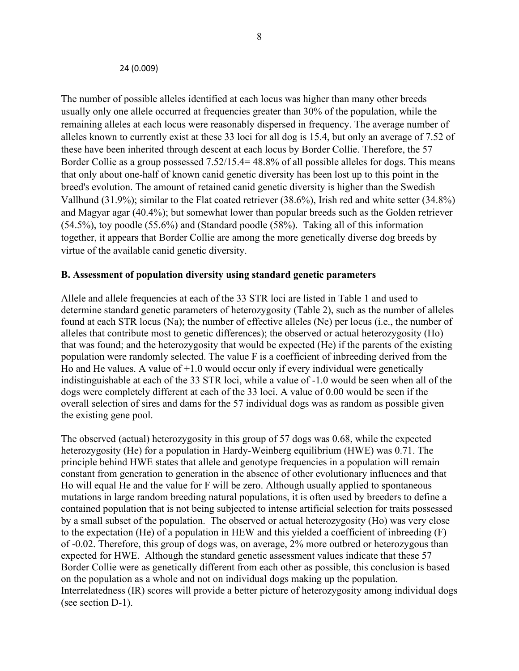#### 24 (0.009)

The number of possible alleles identified at each locus was higher than many other breeds usually only one allele occurred at frequencies greater than 30% of the population, while the remaining alleles at each locus were reasonably dispersed in frequency. The average number of alleles known to currently exist at these 33 loci for all dog is 15.4, but only an average of 7.52 of these have been inherited through descent at each locus by Border Collie. Therefore, the 57 Border Collie as a group possessed 7.52/15.4= 48.8% of all possible alleles for dogs. This means that only about one-half of known canid genetic diversity has been lost up to this point in the breed's evolution. The amount of retained canid genetic diversity is higher than the Swedish Vallhund (31.9%); similar to the Flat coated retriever (38.6%), Irish red and white setter (34.8%) and Magyar agar (40.4%); but somewhat lower than popular breeds such as the Golden retriever (54.5%), toy poodle (55.6%) and (Standard poodle (58%). Taking all of this information together, it appears that Border Collie are among the more genetically diverse dog breeds by virtue of the available canid genetic diversity.

#### **B. Assessment of population diversity using standard genetic parameters**

Allele and allele frequencies at each of the 33 STR loci are listed in Table 1 and used to determine standard genetic parameters of heterozygosity (Table 2), such as the number of alleles found at each STR locus (Na); the number of effective alleles (Ne) per locus (i.e., the number of alleles that contribute most to genetic differences); the observed or actual heterozygosity (Ho) that was found; and the heterozygosity that would be expected (He) if the parents of the existing population were randomly selected. The value F is a coefficient of inbreeding derived from the Ho and He values. A value of  $+1.0$  would occur only if every individual were genetically indistinguishable at each of the 33 STR loci, while a value of -1.0 would be seen when all of the dogs were completely different at each of the 33 loci. A value of 0.00 would be seen if the overall selection of sires and dams for the 57 individual dogs was as random as possible given the existing gene pool.

The observed (actual) heterozygosity in this group of 57 dogs was 0.68, while the expected heterozygosity (He) for a population in Hardy-Weinberg equilibrium (HWE) was 0.71. The principle behind HWE states that allele and genotype frequencies in a population will remain constant from generation to generation in the absence of other evolutionary influences and that Ho will equal He and the value for F will be zero. Although usually applied to spontaneous mutations in large random breeding natural populations, it is often used by breeders to define a contained population that is not being subjected to intense artificial selection for traits possessed by a small subset of the population. The observed or actual heterozygosity (Ho) was very close to the expectation (He) of a population in HEW and this yielded a coefficient of inbreeding (F) of -0.02. Therefore, this group of dogs was, on average, 2% more outbred or heterozygous than expected for HWE. Although the standard genetic assessment values indicate that these 57 Border Collie were as genetically different from each other as possible, this conclusion is based on the population as a whole and not on individual dogs making up the population. Interrelatedness (IR) scores will provide a better picture of heterozygosity among individual dogs (see section D-1).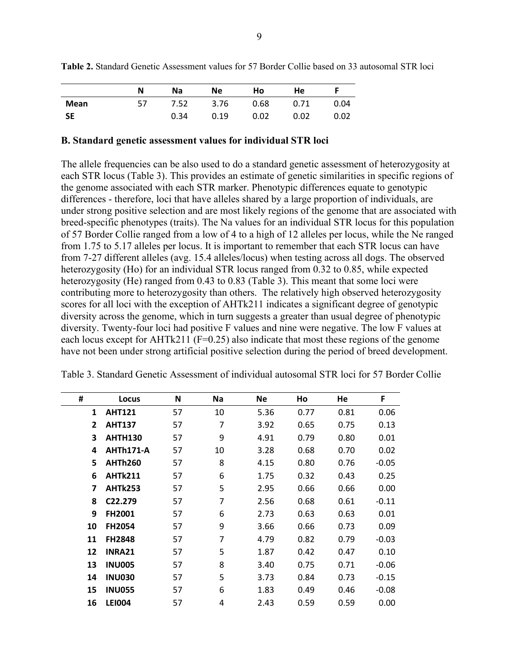|      |     | Na   | Ne   | Ho   | <b>He</b> |      |
|------|-----|------|------|------|-----------|------|
| Mean | 57. | 7.52 | 3.76 | 0.68 | 0.71      | 0.04 |
| -SE  |     | 0.34 | 0.19 | 0.02 | 0.02      | 0.02 |

**Table 2.** Standard Genetic Assessment values for 57 Border Collie based on 33 autosomal STR loci

#### **B. Standard genetic assessment values for individual STR loci**

The allele frequencies can be also used to do a standard genetic assessment of heterozygosity at each STR locus (Table 3). This provides an estimate of genetic similarities in specific regions of the genome associated with each STR marker. Phenotypic differences equate to genotypic differences - therefore, loci that have alleles shared by a large proportion of individuals, are under strong positive selection and are most likely regions of the genome that are associated with breed-specific phenotypes (traits). The Na values for an individual STR locus for this population of 57 Border Collie ranged from a low of 4 to a high of 12 alleles per locus, while the Ne ranged from 1.75 to 5.17 alleles per locus. It is important to remember that each STR locus can have from 7-27 different alleles (avg. 15.4 alleles/locus) when testing across all dogs. The observed heterozygosity (Ho) for an individual STR locus ranged from 0.32 to 0.85, while expected heterozygosity (He) ranged from 0.43 to 0.83 (Table 3). This meant that some loci were contributing more to heterozygosity than others. The relatively high observed heterozygosity scores for all loci with the exception of AHTk211 indicates a significant degree of genotypic diversity across the genome, which in turn suggests a greater than usual degree of phenotypic diversity. Twenty-four loci had positive F values and nine were negative. The low F values at each locus except for AHTk211 (F=0.25) also indicate that most these regions of the genome have not been under strong artificial positive selection during the period of breed development.

| #            | Locus            | N  | Na | Ne   | Ho   | He   | F       |
|--------------|------------------|----|----|------|------|------|---------|
| 1            | <b>AHT121</b>    | 57 | 10 | 5.36 | 0.77 | 0.81 | 0.06    |
| $\mathbf{2}$ | <b>AHT137</b>    | 57 | 7  | 3.92 | 0.65 | 0.75 | 0.13    |
| 3            | <b>AHTH130</b>   | 57 | 9  | 4.91 | 0.79 | 0.80 | 0.01    |
| 4            | <b>AHTh171-A</b> | 57 | 10 | 3.28 | 0.68 | 0.70 | 0.02    |
| 5            | <b>AHTh260</b>   | 57 | 8  | 4.15 | 0.80 | 0.76 | $-0.05$ |
| 6            | <b>AHTk211</b>   | 57 | 6  | 1.75 | 0.32 | 0.43 | 0.25    |
| 7            | <b>AHTk253</b>   | 57 | 5  | 2.95 | 0.66 | 0.66 | 0.00    |
| 8            | C22.279          | 57 | 7  | 2.56 | 0.68 | 0.61 | $-0.11$ |
| 9            | <b>FH2001</b>    | 57 | 6  | 2.73 | 0.63 | 0.63 | 0.01    |
| 10           | <b>FH2054</b>    | 57 | 9  | 3.66 | 0.66 | 0.73 | 0.09    |
| 11           | <b>FH2848</b>    | 57 | 7  | 4.79 | 0.82 | 0.79 | $-0.03$ |
| 12           | <b>INRA21</b>    | 57 | 5  | 1.87 | 0.42 | 0.47 | 0.10    |
| 13           | <b>INU005</b>    | 57 | 8  | 3.40 | 0.75 | 0.71 | $-0.06$ |
| 14           | <b>INU030</b>    | 57 | 5  | 3.73 | 0.84 | 0.73 | $-0.15$ |
| 15           | <b>INU055</b>    | 57 | 6  | 1.83 | 0.49 | 0.46 | $-0.08$ |
| 16           | <b>LEI004</b>    | 57 | 4  | 2.43 | 0.59 | 0.59 | 0.00    |

Table 3. Standard Genetic Assessment of individual autosomal STR loci for 57 Border Collie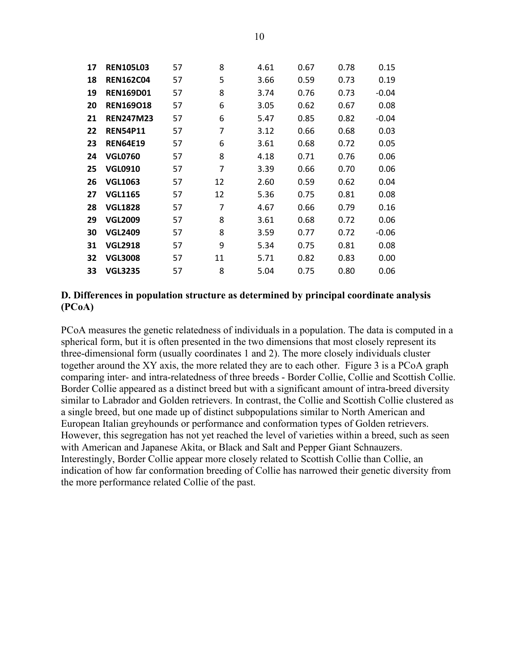| 17 | <b>REN105L03</b> | 57 | 8              | 4.61 | 0.67 | 0.78 | 0.15    |
|----|------------------|----|----------------|------|------|------|---------|
| 18 | <b>REN162C04</b> | 57 | 5              | 3.66 | 0.59 | 0.73 | 0.19    |
| 19 | <b>REN169D01</b> | 57 | 8              | 3.74 | 0.76 | 0.73 | $-0.04$ |
| 20 | <b>REN169018</b> | 57 | 6              | 3.05 | 0.62 | 0.67 | 0.08    |
| 21 | <b>REN247M23</b> | 57 | 6              | 5.47 | 0.85 | 0.82 | $-0.04$ |
| 22 | <b>REN54P11</b>  | 57 | 7              | 3.12 | 0.66 | 0.68 | 0.03    |
| 23 | <b>REN64E19</b>  | 57 | 6              | 3.61 | 0.68 | 0.72 | 0.05    |
| 24 | <b>VGL0760</b>   | 57 | 8              | 4.18 | 0.71 | 0.76 | 0.06    |
| 25 | <b>VGL0910</b>   | 57 | $\overline{7}$ | 3.39 | 0.66 | 0.70 | 0.06    |
| 26 | <b>VGL1063</b>   | 57 | 12             | 2.60 | 0.59 | 0.62 | 0.04    |
| 27 | <b>VGL1165</b>   | 57 | 12             | 5.36 | 0.75 | 0.81 | 0.08    |
| 28 | <b>VGL1828</b>   | 57 | 7              | 4.67 | 0.66 | 0.79 | 0.16    |
| 29 | <b>VGL2009</b>   | 57 | 8              | 3.61 | 0.68 | 0.72 | 0.06    |
| 30 | <b>VGL2409</b>   | 57 | 8              | 3.59 | 0.77 | 0.72 | $-0.06$ |
| 31 | <b>VGL2918</b>   | 57 | 9              | 5.34 | 0.75 | 0.81 | 0.08    |
| 32 | <b>VGL3008</b>   | 57 | 11             | 5.71 | 0.82 | 0.83 | 0.00    |
| 33 | <b>VGL3235</b>   | 57 | 8              | 5.04 | 0.75 | 0.80 | 0.06    |

#### **D. Differences in population structure as determined by principal coordinate analysis (PCoA)**

PCoA measures the genetic relatedness of individuals in a population. The data is computed in a spherical form, but it is often presented in the two dimensions that most closely represent its three-dimensional form (usually coordinates 1 and 2). The more closely individuals cluster together around the XY axis, the more related they are to each other. Figure 3 is a PCoA graph comparing inter- and intra-relatedness of three breeds - Border Collie, Collie and Scottish Collie. Border Collie appeared as a distinct breed but with a significant amount of intra-breed diversity similar to Labrador and Golden retrievers. In contrast, the Collie and Scottish Collie clustered as a single breed, but one made up of distinct subpopulations similar to North American and European Italian greyhounds or performance and conformation types of Golden retrievers. However, this segregation has not yet reached the level of varieties within a breed, such as seen with American and Japanese Akita, or Black and Salt and Pepper Giant Schnauzers. Interestingly, Border Collie appear more closely related to Scottish Collie than Collie, an indication of how far conformation breeding of Collie has narrowed their genetic diversity from the more performance related Collie of the past.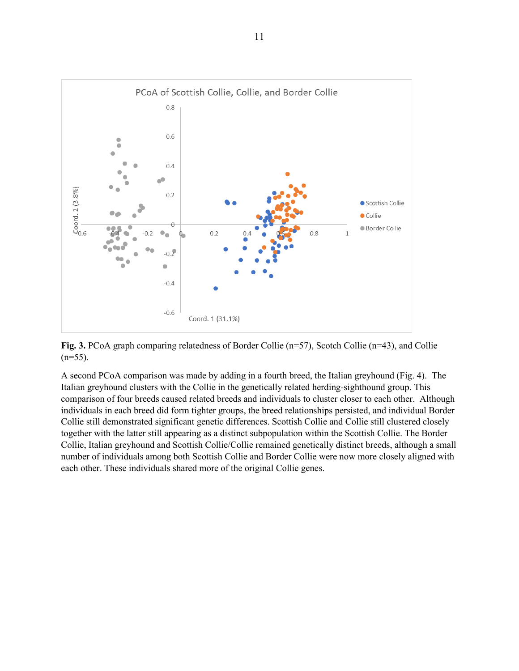

**Fig. 3.** PCoA graph comparing relatedness of Border Collie (n=57), Scotch Collie (n=43), and Collie  $(n=55)$ .

A second PCoA comparison was made by adding in a fourth breed, the Italian greyhound (Fig. 4). The Italian greyhound clusters with the Collie in the genetically related herding-sighthound group. This comparison of four breeds caused related breeds and individuals to cluster closer to each other. Although individuals in each breed did form tighter groups, the breed relationships persisted, and individual Border Collie still demonstrated significant genetic differences. Scottish Collie and Collie still clustered closely together with the latter still appearing as a distinct subpopulation within the Scottish Collie. The Border Collie, Italian greyhound and Scottish Collie/Collie remained genetically distinct breeds, although a small number of individuals among both Scottish Collie and Border Collie were now more closely aligned with each other. These individuals shared more of the original Collie genes.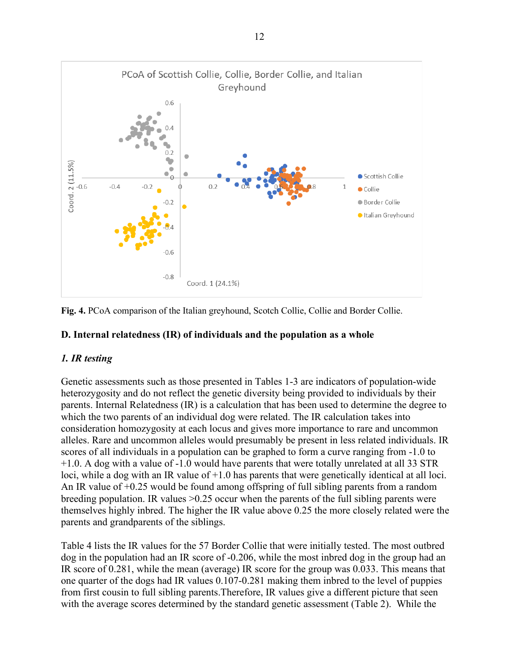

**Fig. 4.** PCoA comparison of the Italian greyhound, Scotch Collie, Collie and Border Collie.

### **D. Internal relatedness (IR) of individuals and the population as a whole**

## *1. IR testing*

Genetic assessments such as those presented in Tables 1-3 are indicators of population-wide heterozygosity and do not reflect the genetic diversity being provided to individuals by their parents. Internal Relatedness (IR) is a calculation that has been used to determine the degree to which the two parents of an individual dog were related. The IR calculation takes into consideration homozygosity at each locus and gives more importance to rare and uncommon alleles. Rare and uncommon alleles would presumably be present in less related individuals. IR scores of all individuals in a population can be graphed to form a curve ranging from -1.0 to +1.0. A dog with a value of -1.0 would have parents that were totally unrelated at all 33 STR loci, while a dog with an IR value of +1.0 has parents that were genetically identical at all loci. An IR value of +0.25 would be found among offspring of full sibling parents from a random breeding population. IR values >0.25 occur when the parents of the full sibling parents were themselves highly inbred. The higher the IR value above 0.25 the more closely related were the parents and grandparents of the siblings.

Table 4 lists the IR values for the 57 Border Collie that were initially tested. The most outbred dog in the population had an IR score of -0.206, while the most inbred dog in the group had an IR score of 0.281, while the mean (average) IR score for the group was 0.033. This means that one quarter of the dogs had IR values 0.107-0.281 making them inbred to the level of puppies from first cousin to full sibling parents.Therefore, IR values give a different picture that seen with the average scores determined by the standard genetic assessment (Table 2). While the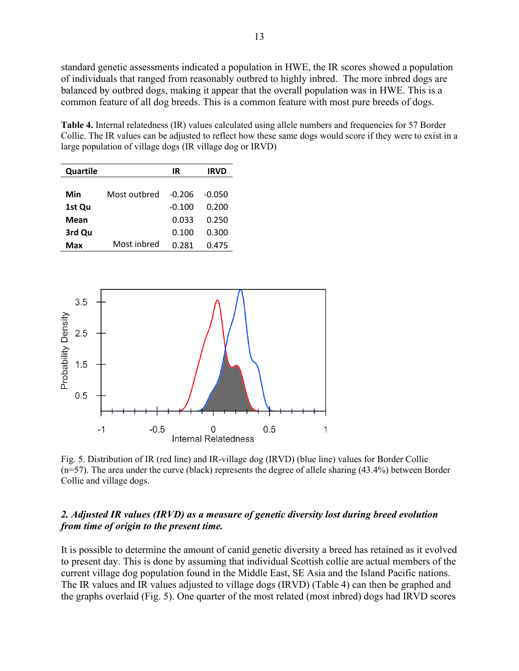standard genetic assessments indicated a population in HWE, the IR scores showed a population of individuals that ranged from reasonably outbred to highly inbred. The more inbred dogs are balanced by outbred dogs, making it appear that the overall population was in HWE. This is a common feature of all dog breeds. This is a common feature with most pure breeds of dogs.

**Table 4.** Internal relatedness (IR) values calculated using allele numbers and frequencies for 57 Border Collie. The IR values can be adjusted to reflect how these same dogs would score if they were to exist in a large population of village dogs (IR village dog or IRVD)

| Quartile |              | IR     | IRVD   |
|----------|--------------|--------|--------|
|          |              |        |        |
| Min      | Most outbred | -0.206 | -0.050 |
| 1st Qu   |              | -0.100 | 0.200  |
| Mean     |              | 0.033  | 0.250  |
| 3rd Qu   |              | 0.100  | 0.300  |
| Max      | Most inbred  | 0.281  | 0.475  |



Fig. 5. Distribution of IR (red line) and IR-village dog (IRVD) (blue line) values for Border Collie (n=57). The area under the curve (black) represents the degree of allele sharing (43.4%) between Border Collie and village dogs.

### *2. Adjusted IR values (IRVD) as a measure of genetic diversity lost during breed evolution from time of origin to the present time.*

It is possible to determine the amount of canid genetic diversity a breed has retained as it evolved to present day. This is done by assuming that individual Scottish collie are actual members of the current village dog population found in the Middle East, SE Asia and the Island Pacific nations. The IR values and IR values adjusted to village dogs (IRVD) (Table 4) can then be graphed and the graphs overlaid (Fig. 5). One quarter of the most related (most inbred) dogs had IRVD scores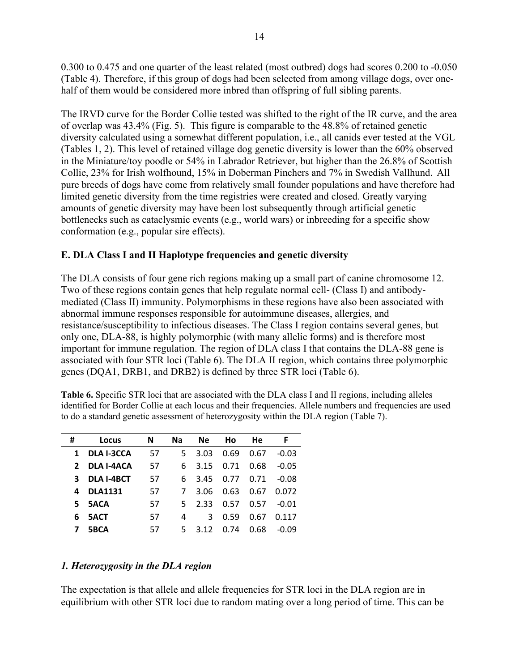0.300 to 0.475 and one quarter of the least related (most outbred) dogs had scores 0.200 to -0.050 (Table 4). Therefore, if this group of dogs had been selected from among village dogs, over onehalf of them would be considered more inbred than offspring of full sibling parents.

The IRVD curve for the Border Collie tested was shifted to the right of the IR curve, and the area of overlap was 43.4% (Fig. 5). This figure is comparable to the 48.8% of retained genetic diversity calculated using a somewhat different population, i.e., all canids ever tested at the VGL (Tables 1, 2). This level of retained village dog genetic diversity is lower than the 60% observed in the Miniature/toy poodle or 54% in Labrador Retriever, but higher than the 26.8% of Scottish Collie, 23% for Irish wolfhound, 15% in Doberman Pinchers and 7% in Swedish Vallhund. All pure breeds of dogs have come from relatively small founder populations and have therefore had limited genetic diversity from the time registries were created and closed. Greatly varying amounts of genetic diversity may have been lost subsequently through artificial genetic bottlenecks such as cataclysmic events (e.g., world wars) or inbreeding for a specific show conformation (e.g., popular sire effects).

## **E. DLA Class I and II Haplotype frequencies and genetic diversity**

The DLA consists of four gene rich regions making up a small part of canine chromosome 12. Two of these regions contain genes that help regulate normal cell- (Class I) and antibodymediated (Class II) immunity. Polymorphisms in these regions have also been associated with abnormal immune responses responsible for autoimmune diseases, allergies, and resistance/susceptibility to infectious diseases. The Class I region contains several genes, but only one, DLA-88, is highly polymorphic (with many allelic forms) and is therefore most important for immune regulation. The region of DLA class I that contains the DLA-88 gene is associated with four STR loci (Table 6). The DLA II region, which contains three polymorphic genes (DQA1, DRB1, and DRB2) is defined by three STR loci (Table 6).

**Table 6.** Specific STR loci that are associated with the DLA class I and II regions, including alleles identified for Border Collie at each locus and their frequencies. Allele numbers and frequencies are used to do a standard genetic assessment of heterozygosity within the DLA region (Table 7).

| #            | Locus             | N   | Na. | <b>Ne</b> | Ho   | He   | F       |
|--------------|-------------------|-----|-----|-----------|------|------|---------|
| 1            | <b>DLA I-3CCA</b> | 57  | 5.  | 3.03      | 0.69 | 0.67 | $-0.03$ |
| $\mathbf{2}$ | <b>DLA I-4ACA</b> | 57  | 6   | 3.15      | 0.71 | 0.68 | $-0.05$ |
| 3            | <b>DLA I-4BCT</b> | 57  | 6.  | 3.45      | 0.77 | 0.71 | $-0.08$ |
| 4            | <b>DLA1131</b>    | 57  | 7   | 3.06      | 0.63 | 0.67 | 0.072   |
| 5.           | <b>5ACA</b>       | 57  | 5.  | 2.33      | 0.57 | 0.57 | $-0.01$ |
| 6            | <b>5ACT</b>       | .57 | 4   | 3         | 0.59 | 0.67 | 0.117   |
| 7            | 5BCA              | 57  | 5.  | 3 1 2     | 0.74 | 0.68 | -0.09   |

## *1. Heterozygosity in the DLA region*

The expectation is that allele and allele frequencies for STR loci in the DLA region are in equilibrium with other STR loci due to random mating over a long period of time. This can be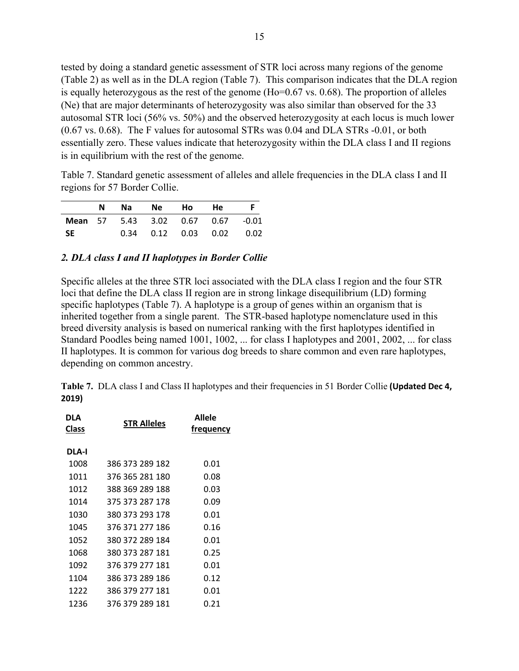tested by doing a standard genetic assessment of STR loci across many regions of the genome (Table 2) as well as in the DLA region (Table 7). This comparison indicates that the DLA region is equally heterozygous as the rest of the genome (Ho=0.67 vs. 0.68). The proportion of alleles (Ne) that are major determinants of heterozygosity was also similar than observed for the 33 autosomal STR loci (56% vs. 50%) and the observed heterozygosity at each locus is much lower (0.67 vs. 0.68). The F values for autosomal STRs was 0.04 and DLA STRs -0.01, or both essentially zero. These values indicate that heterozygosity within the DLA class I and II regions is in equilibrium with the rest of the genome.

Table 7. Standard genetic assessment of alleles and allele frequencies in the DLA class I and II regions for 57 Border Collie.

|     | N. |  | Na Ne Ho He F                            |  |
|-----|----|--|------------------------------------------|--|
|     |    |  | <b>Mean</b> 57 5.43 3.02 0.67 0.67 -0.01 |  |
| -SE |    |  | $0.34$ $0.12$ $0.03$ $0.02$ $0.02$       |  |

### *2. DLA class I and II haplotypes in Border Collie*

Specific alleles at the three STR loci associated with the DLA class I region and the four STR loci that define the DLA class II region are in strong linkage disequilibrium (LD) forming specific haplotypes (Table 7). A haplotype is a group of genes within an organism that is inherited together from a single parent. The STR-based haplotype nomenclature used in this breed diversity analysis is based on numerical ranking with the first haplotypes identified in Standard Poodles being named 1001, 1002, ... for class I haplotypes and 2001, 2002, ... for class II haplotypes. It is common for various dog breeds to share common and even rare haplotypes, depending on common ancestry.

**Table 7.** DLA class I and Class II haplotypes and their frequencies in 51 Border Collie **(Updated Dec 4, 2019)**

| DLA<br>Class | <b>STR Alleles</b> | <b>Allele</b><br>trequency |
|--------------|--------------------|----------------------------|
| DLA-I        |                    |                            |
| 1008         | 386 373 289 182    | 0.01                       |
| 1011         | 376 365 281 180    | 0.08                       |
| 1012         | 388 369 289 188    | 0.03                       |
| 1014         | 375 373 287 178    | 0.09                       |
| 1030         | 380 373 293 178    | 0.01                       |
| 1045         | 376 371 277 186    | 0.16                       |
| 1052         | 380 372 289 184    | 0.01                       |
| 1068         | 380 373 287 181    | 0.25                       |
| 1092         | 376 379 277 181    | 0.01                       |
| 1104         | 386 373 289 186    | 0.12                       |
| 1222         | 386 379 277 181    | 0.01                       |
| 1236         | 376 379 289 181    | 0.21                       |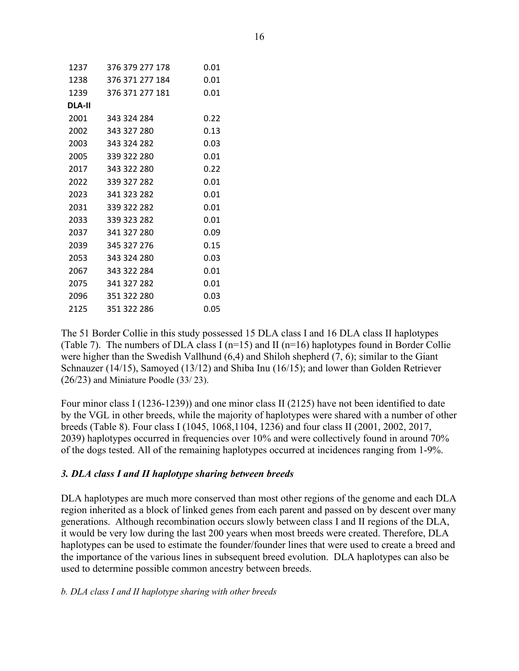| 1237   | 376 379 277 178 | 0.01 |
|--------|-----------------|------|
| 1238   | 376 371 277 184 | 0.01 |
| 1239   | 376 371 277 181 | 0.01 |
| DLA-II |                 |      |
| 2001   | - 343 324 284   | 0.22 |
| 2002   | 343 327 280     | 0.13 |
| 2003   | 343 324 282     | 0.03 |
| 2005   | 339 322 280     | 0.01 |
| 2017   | 343 322 280     | 0.22 |
| 2022   | 339 327 282     | 0.01 |
| 2023   | 341 323 282     | 0.01 |
| 2031   | 339 322 282     | 0.01 |
| 2033   | 339 323 282     | 0.01 |
| 2037   | 341 327 280     | 0.09 |
| 2039   | 345 327 276     | 0.15 |
| 2053   | 343 324 280     | 0.03 |
| 2067   | 343 322 284     | 0.01 |
| 2075   | 341 327 282     | 0.01 |
| 2096   | 351 322 280     | 0.03 |
| 2125   | 351 322 286     | 0.05 |

The 51 Border Collie in this study possessed 15 DLA class I and 16 DLA class II haplotypes (Table 7). The numbers of DLA class I ( $n=15$ ) and II ( $n=16$ ) haplotypes found in Border Collie were higher than the Swedish Vallhund (6,4) and Shiloh shepherd (7, 6); similar to the Giant Schnauzer (14/15), Samoyed (13/12) and Shiba Inu (16/15); and lower than Golden Retriever (26/23) and Miniature Poodle (33/ 23).

Four minor class I (1236-1239)) and one minor class II (2125) have not been identified to date by the VGL in other breeds, while the majority of haplotypes were shared with a number of other breeds (Table 8). Four class I (1045, 1068,1104, 1236) and four class II (2001, 2002, 2017, 2039) haplotypes occurred in frequencies over 10% and were collectively found in around 70% of the dogs tested. All of the remaining haplotypes occurred at incidences ranging from 1-9%.

## *3. DLA class I and II haplotype sharing between breeds*

DLA haplotypes are much more conserved than most other regions of the genome and each DLA region inherited as a block of linked genes from each parent and passed on by descent over many generations. Although recombination occurs slowly between class I and II regions of the DLA, it would be very low during the last 200 years when most breeds were created. Therefore, DLA haplotypes can be used to estimate the founder/founder lines that were used to create a breed and the importance of the various lines in subsequent breed evolution. DLA haplotypes can also be used to determine possible common ancestry between breeds.

### *b. DLA class I and II haplotype sharing with other breeds*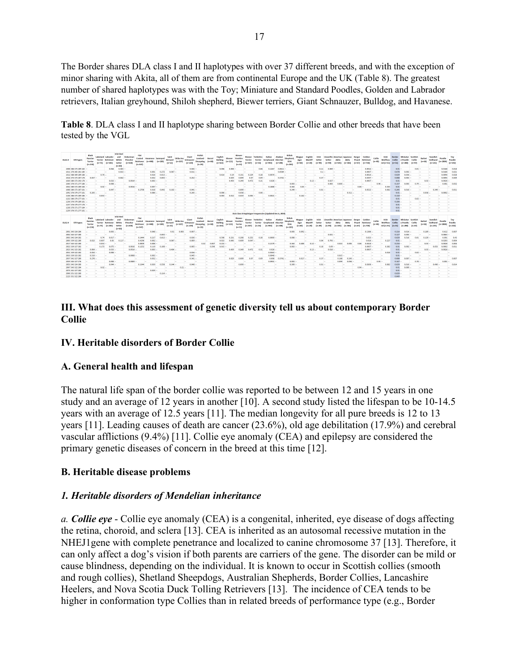The Border shares DLA class I and II haplotypes with over 37 different breeds, and with the exception of minor sharing with Akita, all of them are from continental Europe and the UK (Table 8). The greatest number of shared haplotypes was with the Toy; Miniature and Standard Poodles, Golden and Labrador retrievers, Italian greyhound, Shiloh shepherd, Biewer terriers, Giant Schnauzer, Bulldog, and Havanese.

**Table 8**. DLA class I and II haplotype sharing between Border Collie and other breeds that have been tested by the VGL

| <b>DIA1#</b> | <b>STR types</b>     | <b>Black</b><br>Russian<br>Terrier<br>$(n=134)$ | akeland<br><b>Tecrier</b><br>$(n-75)$ | Retriever<br>$(n-181)$         | White<br>Pinachee<br>fo-6183<br>Setter<br>[0.00]                                     | Coated<br>Retriever<br>(n=547)       | <b>Havanese Samoved</b><br>$(n - 448)$                                                                                                                                                                                               | $(n-189)$            | Saint<br>Bernard<br>$(n+52)$   | Shiba Inu<br>$(n - 107)$      | Giant<br>Schrauzer<br>$(n-220)$   | Polish<br>Lowland<br>Sheepdog<br>$(n - 68)$<br>$(n=19)$                 | Bulldog<br>$(n - 163)$        | Biewer<br>$(n-121)$ | <b>Distant</b><br>Yorshire<br>Terrier<br>$(n=53)$ | Biewer<br><b>Terrier</b><br>$(n - 107)$ | <b>Yorkshire</b><br><b>Terrier</b><br>$(n-16)$ | <b>Italian</b><br>Greyhound Klee Kai<br>$(n - 943)$      | Alaskan<br>$(n-548)$               | Shepherd<br><b>ISSA</b><br>$(n = 183)$ | Magyar<br>Agar<br>$(n+60)$   | English<br>Mastifi<br>$(n - 20)$ |          |             | $(n-101)$                   | Akita<br>$(n - 366)$ | Picard<br>(0.62)             | Golden<br>Retriever<br>$(n-718)$        | $(n-12)$ | <b>Wolfbou</b><br>nd (n=55)                 | Border<br>Collie<br>$(n-51)$                            | Ministur<br>e Poodle<br>$(n - 283)$ | Collie<br>(0.42)  | $n - 66$  | Vallhund<br>$(n = 225)$ | Poodle<br>$(n - 2884)$   | Toy<br>Poodle<br>$(n-142)$ |
|--------------|----------------------|-------------------------------------------------|---------------------------------------|--------------------------------|--------------------------------------------------------------------------------------|--------------------------------------|--------------------------------------------------------------------------------------------------------------------------------------------------------------------------------------------------------------------------------------|----------------------|--------------------------------|-------------------------------|-----------------------------------|-------------------------------------------------------------------------|-------------------------------|---------------------|---------------------------------------------------|-----------------------------------------|------------------------------------------------|----------------------------------------------------------|------------------------------------|----------------------------------------|------------------------------|----------------------------------|----------|-------------|-----------------------------|----------------------|------------------------------|-----------------------------------------|----------|---------------------------------------------|---------------------------------------------------------|-------------------------------------|-------------------|-----------|-------------------------|--------------------------|----------------------------|
|              | 1008 386 373 289 182 |                                                 |                                       | 0.064                          | 0.583                                                                                |                                      |                                                                                                                                                                                                                                      | <b>Section</b>       |                                |                               | $0.045 -$                         |                                                                         | 0.006                         | 0.008               |                                                   |                                         | 0.06                                           | 0.1267                                                   | $0.0611 -$                         |                                        |                              |                                  | 0.11     | 0.009       |                             |                      |                              | $0.0014 -$                              |          |                                             | 0.01                                                    |                                     | $0.01 -$          |           |                         | 0.0168                   | 0.01                       |
|              | 1011 376 565 281 180 |                                                 |                                       |                                | 0.033                                                                                |                                      | 0.001                                                                                                                                                                                                                                | 0.272                | $0.067 -$                      |                               | $0.011 -$                         |                                                                         |                               |                     |                                                   |                                         |                                                |                                                          | 0.0584                             |                                        |                              |                                  | $0.1 -$  |             |                             |                      |                              | $0.0007 -$                              |          |                                             | 0.078                                                   | $0.003 -$                           |                   |           |                         | 0.0186                   | 0.021                      |
|              | 1012 188 169 289 188 |                                                 | $0.74 -$                              |                                |                                                                                      | <b>140</b>                           | 0.016                                                                                                                                                                                                                                | 0.013                |                                |                               |                                   |                                                                         | 0.414                         | 0.19                | 0.157                                             | 0.229                                   | 0.28                                           | $0.0074 -$                                               |                                    |                                        |                              |                                  |          |             |                             |                      |                              | $0.0014 -$                              |          | <b>140</b>                                  | 0.029                                                   | 0.054                               |                   |           |                         | 0.0094                   | 0.021                      |
|              | 1014 375 373 287 178 | 0.037                                           |                                       |                                | 0.042                                                                                | <b>Tax</b>                           | 0.032                                                                                                                                                                                                                                | 0.003                |                                |                               | 0.252                             |                                                                         |                               | 0.025               |                                                   |                                         |                                                |                                                          | 0.3741                             |                                        |                              |                                  | 0.37     |             |                             |                      |                              | $0.0397 -$                              |          | <b>Tax</b>                                  | 0.088                                                   | 6.003                               |                   |           |                         | 0.0095                   | 0.045                      |
|              | 1030 380 373 293 178 |                                                 |                                       | $0.033 -$                      |                                                                                      | $0.0914 -$                           | $0.003 -$                                                                                                                                                                                                                            |                      |                                |                               |                                   |                                                                         |                               | 0.459               | 0.349                                             | 0.472                                   | 0.31                                           | $0.026 -$                                                |                                    |                                        |                              | $0.13 -$                         |          | $0.027 -$   |                             |                      |                              | $0.0007 -$                              |          | .                                           | 0.01                                                    |                                     |                   | $0.03 -$  |                         | $0.0026 -$               |                            |
|              | 1045 376 371 277 186 |                                                 |                                       | 0.008                          |                                                                                      |                                      |                                                                                                                                                                                                                                      |                      |                                |                               |                                   |                                                                         |                               |                     |                                                   |                                         |                                                |                                                          |                                    | 0.003                                  |                              |                                  |          | a.ms        |                             |                      |                              |                                         | $0.95 -$ |                                             | 0.157                                                   | 0.003                               | $0.79 -$          |           |                         | 0.001                    | 0.03                       |
|              | 1052 380 372 289 184 |                                                 | 0.02                                  |                                |                                                                                      | $0.0016 -$                           | 0.007                                                                                                                                                                                                                                |                      |                                |                               |                                   |                                                                         |                               |                     |                                                   |                                         |                                                | 0.1888                                                   |                                    | 0.363                                  | 0.05                         |                                  |          |             |                             |                      |                              | .                                       |          | 0.355                                       | 0.01                                                    |                                     |                   |           |                         |                          |                            |
|              | 1068 180 373 287 181 |                                                 |                                       | $0.087 -$                      |                                                                                      | 0.2705                               | 0.018                                                                                                                                                                                                                                | 0.042                | $0.163 -$                      |                               | $0.041 -$                         |                                                                         |                               |                     | $0.009 -$                                         |                                         |                                                |                                                          |                                    | 0.249                                  |                              |                                  | $0.01 -$ |             |                             |                      |                              | $0.0522 -$                              |          | 0.082                                       | 0.245                                                   | $0.016 -$                           | l an              |           | $0.349 -$               |                          | 0.011                      |
|              | 1092 376 379 277 181 | $0.243 -$                                       |                                       | <b>Contract</b>                |                                                                                      | <b>Contract</b>                      | 0.095                                                                                                                                                                                                                                |                      |                                |                               | $0.245 -$                         |                                                                         | 0.006                         |                     | 0.038                                             |                                         | 0.06                                           |                                                          |                                    |                                        |                              |                                  |          |             |                             | 0.311                |                              | $\sim$                                  |          | <b>Contract</b>                             | 0.01                                                    |                                     |                   | 6.038     |                         | 0.0002                   |                            |
|              | 1104 386 373 289 186 |                                                 | $0.033 -$                             |                                |                                                                                      |                                      |                                                                                                                                                                                                                                      |                      |                                |                               |                                   |                                                                         | 0.003                         | 0.012               | 0.019                                             | 0.005                                   |                                                | $0.0021 -$                                               |                                    |                                        | $0.142 -$                    |                                  |          |             |                             |                      |                              |                                         |          |                                             | 0.118                                                   |                                     |                   |           |                         |                          |                            |
|              | 1222 386 379 277 181 |                                                 |                                       |                                |                                                                                      |                                      |                                                                                                                                                                                                                                      |                      |                                |                               |                                   |                                                                         |                               |                     |                                                   |                                         |                                                |                                                          |                                    |                                        |                              |                                  |          |             |                             |                      |                              |                                         |          |                                             | 0.01                                                    |                                     |                   |           |                         |                          |                            |
|              | 1236 376 379 289 181 |                                                 |                                       |                                |                                                                                      |                                      |                                                                                                                                                                                                                                      |                      |                                |                               |                                   |                                                                         |                               |                     |                                                   |                                         |                                                |                                                          |                                    |                                        |                              |                                  |          |             |                             |                      |                              |                                         |          |                                             | 0.206                                                   |                                     |                   |           |                         |                          |                            |
|              | 1217 176 179 277 178 |                                                 |                                       |                                |                                                                                      |                                      |                                                                                                                                                                                                                                      |                      |                                |                               |                                   |                                                                         |                               |                     |                                                   |                                         |                                                |                                                          |                                    |                                        |                              |                                  |          |             |                             |                      |                              |                                         |          |                                             | 0.01                                                    |                                     |                   |           |                         |                          |                            |
|              | 1238 376 371 277 184 |                                                 |                                       |                                |                                                                                      |                                      |                                                                                                                                                                                                                                      |                      |                                |                               |                                   |                                                                         |                               |                     |                                                   |                                         |                                                |                                                          |                                    |                                        |                              |                                  |          |             |                             |                      |                              |                                         |          |                                             | 0.01                                                    |                                     |                   |           |                         |                          |                            |
|              | 1239 376 371 277 181 |                                                 |                                       |                                |                                                                                      |                                      |                                                                                                                                                                                                                                      |                      |                                |                               |                                   |                                                                         |                               |                     |                                                   |                                         |                                                |                                                          |                                    |                                        |                              |                                  |          |             |                             |                      |                              |                                         |          |                                             | 0.01                                                    |                                     |                   |           |                         |                          |                            |
|              |                      |                                                 |                                       |                                |                                                                                      |                                      |                                                                                                                                                                                                                                      |                      |                                |                               |                                   |                                                                         |                               |                     |                                                   |                                         |                                                | DIA Class II Haplotype Frequencies (Updated Dec 6, 2019) |                                    |                                        |                              |                                  |          |             |                             |                      |                              |                                         |          |                                             |                                                         |                                     |                   |           |                         |                          |                            |
| DLA2#        | <b>STR types</b>     | Black<br>Russian<br>Tecries<br>$(0 - 134)$      | Terrier<br>$(n-75)$                   | Lakeland Labrador<br>$(n-131)$ | trich Red<br>Doberman<br>and<br>White<br>Pinscher<br>Setter<br>$(n - 613)$<br>In: 60 | Flat<br>Coated<br>Retriever<br>0.547 | Havanese Samover<br>(n:441)                                                                                                                                                                                                          | (n <sub>1</sub> 189) | Saint<br>Bernard<br>$(n - 52)$ | <b>Shiha Inn</b><br>$(n=107)$ | Giant<br>Schnauzer<br>$(n - 220)$ | Polish<br>Lowland<br>Borzoi<br><b>Sheepdog</b><br>$(m=6.8)$<br>$(n-19)$ | <b>Bulldog</b><br>$(n - 163)$ | $(n=121)$           | Blewe<br>Yorshire<br>Terries<br>$(n=53)$          | Terrier<br>$(n-107)$                    | Biewer Yorkshire<br>Terrier<br>$(m-16)$        | <b>Italian</b><br>Greyhound<br>$(n - 943)$               | Alaskan<br>Klee Kai<br>$(n - 548)$ | Shepherd<br>155A<br>fn=1831            | Magyar<br>Agar<br>$(n - 60)$ | English<br>$(n - 20)$            |          |             | Llewellin American Japanese | $(n - 366)$          | Berger<br>Picard<br>$m - 67$ | Golden<br><b>Retriever</b><br>$(n-718)$ | (note)   | <b>Irish</b><br><b>Wolfhou</b><br>nd (n-55) | <b>Border Ministur Scottish</b><br>Collie<br>$(n - 51)$ | e Poodle<br>$(n - 283)$             | Collie<br>$(n-4)$ | (n=66)    | Vallhund<br>$(n-225)$   | Poodle<br>$(n=2884)$     | Toy<br>Poodle<br>$(n-142)$ |
|              | 2001 343 324 284     |                                                 |                                       | 0.003                          |                                                                                      |                                      | 0.048                                                                                                                                                                                                                                |                      | 0.01                           | 0.005                         | 0.007                             |                                                                         |                               |                     |                                                   |                                         |                                                |                                                          |                                    | 0.005                                  | 0.092                        |                                  |          |             |                             |                      |                              | $0.1386 -$                              |          |                                             | 0.216                                                   | 0.014                               |                   | $0.189 -$ |                         | 0.612                    | 0.00                       |
|              | 2002 343 327 280     |                                                 |                                       |                                |                                                                                      |                                      |                                                                                                                                                                                                                                      | 0.001                |                                |                               |                                   |                                                                         |                               |                     |                                                   |                                         |                                                |                                                          |                                    |                                        |                              |                                  |          | 0.021       |                             |                      |                              |                                         |          |                                             | 0.127                                                   | 0.005                               |                   |           |                         | $0.0061 -$               |                            |
|              | 2003 343 324 282     |                                                 | 0.74                                  | 0.017                          | <b>Taxable</b>                                                                       | 0.1444                               | 0.217                                                                                                                                                                                                                                | 0.013                |                                |                               | $0.036 -$                         |                                                                         | 0.598                         | 0.231               | 0.201                                             | 0.252                                   | 0.38                                           | $0.0069 -$                                               |                                    | 0.008                                  |                              |                                  |          |             |                             |                      |                              | $0.023 -$                               |          |                                             | 0.029                                                   | 0.516                               | 0.01              | $0.129 -$ |                         | 0.091                    | 0.43                       |
|              | 2005 339 322 280     | 0.015                                           | 0.007                                 | 0.05                           | $0.117 -$                                                                            | 0.4196                               | $0.002 -$                                                                                                                                                                                                                            |                      | $0.067 -$                      |                               | $0.009 -$                         |                                                                         | 0.015                         | 0.045               | 0.005                                             |                                         |                                                |                                                          |                                    |                                        |                              |                                  | 0.04     | $0.793 -$   |                             |                      |                              | $0.016 -$                               |          | 0.227                                       | 0.01                                                    |                                     |                   |           |                         | 0.0203                   | 0.004                      |
|              | 2017 343 322 280     |                                                 | $0.033 -$                             |                                |                                                                                      | 0.0009                               | $0.008 -$                                                                                                                                                                                                                            |                      |                                |                               |                                   | 0.007<br>0.32                                                           | $0.215 -$                     |                     |                                                   |                                         |                                                | 0.2179                                                   |                                    | 0.363                                  | 0.408                        | $0.13 -$                         |          |             | 0.015                       | 0.005                | 0.05                         | $0.0418 -$                              |          | l an                                        | 0.216                                                   |                                     |                   | $0.03 -$  |                         | 0.0028                   | 0.001                      |
|              | 2022 339 327 282     |                                                 | 0.173                                 | $0.075 -$                      | 0.0016                                                                               | 0.1252                               | 0.119                                                                                                                                                                                                                                | 0.108                |                                |                               | $0.005 -$                         | 0.596                                                                   | 0.015                         |                     |                                                   |                                         |                                                |                                                          |                                    | 6.063                                  |                              |                                  | 0.18     | 0.09        |                             |                      |                              | $0.0007 -$                              |          | 0.382                                       | 0.01                                                    | 0.002                               |                   |           | 0.053                   | 0.0002                   | 0.01                       |
|              | 2023 341 323 282     | $0.004 -$                                       |                                       | $0.033 -$                      |                                                                                      | $0.0914 -$                           | $0.001 -$                                                                                                                                                                                                                            |                      | $0.404 -$                      |                               |                                   |                                                                         |                               | 0.455               |                                                   |                                         | 0.33                                           | $0.026 -$                                                |                                    |                                        |                              | $0.11 -$                         |          | $0.016 -$   |                             |                      |                              | $0.0007 -$                              |          |                                             | 0.01                                                    |                                     |                   | $0.01 -$  |                         | $0.0026 -$               |                            |
|              | 2031 339 322 282     | $0.034 -$                                       |                                       | <b>BOOR</b>                    |                                                                                      |                                      |                                                                                                                                                                                                                                      |                      |                                |                               | $0.036 -$                         |                                                                         |                               |                     |                                                   |                                         |                                                | $0.0583 -$                                               |                                    |                                        |                              |                                  |          |             |                             |                      |                              |                                         |          | 0.018                                       | 0.01                                                    |                                     | 0.02              |           |                         | <b>Contract</b>          |                            |
|              | 2033 339 323 282     | $0.519 -$                                       |                                       |                                |                                                                                      | $0.0008 -$                           | $0.002 -$                                                                                                                                                                                                                            |                      |                                |                               | $0.045 -$                         |                                                                         |                               |                     |                                                   |                                         |                                                | 0.0048                                                   |                                    |                                        |                              |                                  |          |             | $0.015 -$                   |                      |                              |                                         |          |                                             | 0.01                                                    |                                     |                   |           |                         |                          |                            |
|              | 2037 341 327 280     | $0.276 -$                                       |                                       |                                |                                                                                      |                                      | $0.032 -$                                                                                                                                                                                                                            |                      |                                |                               | 0.341                             |                                                                         |                               |                     |                                                   |                                         | 0.05                                           | 300.0                                                    | $0.3741 -$                         |                                        | $0.017 -$                    |                                  | $0.37 -$ |             | 0.168                       | 0.243                |                              |                                         |          |                                             | 0.088                                                   | 0.007                               |                   |           |                         |                          | 0.00                       |
|              | 2039 345 327 276     |                                                 | . .                                   | a ma                           | 0.0089                                                                               |                                      |                                                                                                                                                                                                                                      |                      |                                |                               |                                   |                                                                         |                               |                     |                                                   |                                         |                                                | 0.0901                                                   |                                    | 0.003                                  |                              |                                  |          |             | 0.099                       | 0.094                |                              |                                         | $0.95 -$ |                                             | 0.147                                                   |                                     | 0.78              |           |                         | $0.001 -$                |                            |
|              | 2053 343 324 280     |                                                 | <b>Includes</b>                       | 0.044                          |                                                                                      | 0.1344                               | 0.039                                                                                                                                                                                                                                | 0.558                | 0.144                          |                               | $0.048 -$                         |                                                                         |                               |                     | $0.009 -$                                         |                                         |                                                |                                                          |                                    | 0.309                                  |                              |                                  | $0.01 -$ |             |                             |                      |                              | 0.0306                                  |          | 0.082                                       | 0.023                                                   | 0.016                               |                   |           | 0.496                   |                          | 0.01                       |
|              | 2067 343 322 284     |                                                 |                                       |                                |                                                                                      |                                      |                                                                                                                                                                                                                                      |                      |                                |                               |                                   |                                                                         |                               |                     |                                                   |                                         |                                                |                                                          |                                    |                                        |                              |                                  |          |             |                             |                      | 0.94                         |                                         |          |                                             | 0.01                                                    | 0.009                               |                   |           |                         |                          |                            |
|              | 2075 341 327 282     |                                                 |                                       |                                |                                                                                      |                                      | 0.029                                                                                                                                                                                                                                |                      |                                |                               |                                   |                                                                         |                               |                     |                                                   |                                         |                                                |                                                          |                                    |                                        |                              |                                  |          |             |                             |                      |                              |                                         |          |                                             | 0.01                                                    |                                     |                   |           |                         |                          |                            |
|              |                      |                                                 |                                       |                                |                                                                                      |                                      |                                                                                                                                                                                                                                      |                      |                                |                               |                                   |                                                                         |                               |                     |                                                   |                                         |                                                |                                                          |                                    |                                        |                              |                                  |          |             |                             |                      |                              |                                         |          |                                             |                                                         |                                     |                   |           |                         |                          |                            |
|              | 2096 351 322 280     |                                                 |                                       |                                |                                                                                      |                                      |                                                                                                                                                                                                                                      | 0.114                |                                |                               |                                   |                                                                         |                               |                     |                                                   |                                         |                                                |                                                          |                                    |                                        |                              |                                  |          |             |                             |                      |                              |                                         |          |                                             | 0.029                                                   |                                     |                   |           |                         |                          |                            |
|              | 2125 351 322 286     |                                                 | <b>Contract</b>                       |                                |                                                                                      | <b>COLLECTION</b>                    | <b>The Contract of the Contract of the Contract of the Contract of the Contract of the Contract of the Contract of the Contract of the Contract of The Contract of The Contract of The Contract of The Contract of The Contract </b> | <b>COL</b>           |                                |                               |                                   |                                                                         |                               |                     |                                                   | <b>College</b>                          | -                                              |                                                          | <b>Color</b>                       | <b>Color</b>                           |                              |                                  |          | <b>Taxa</b> |                             |                      |                              | <b>The Contract of the Contract</b>     |          | <b>Taxable</b>                              | 0.049                                                   |                                     | <b>Taxable</b>    |           | <b>Contract</b>         | <b>Contract Contract</b> |                            |

### **III. What does this assessment of genetic diversity tell us about contemporary Border Collie**

### **IV. Heritable disorders of Border Collie**

### **A. General health and lifespan**

The natural life span of the border collie was reported to be between 12 and 15 years in one study and an average of 12 years in another [10]. A second study listed the lifespan to be 10-14.5 years with an average of 12.5 years [11]. The median longevity for all pure breeds is 12 to 13 years [11]. Leading causes of death are cancer (23.6%), old age debilitation (17.9%) and cerebral vascular afflictions (9.4%) [11]. Collie eye anomaly (CEA) and epilepsy are considered the primary genetic diseases of concern in the breed at this time [12].

## **B. Heritable disease problems**

### *1. Heritable disorders of Mendelian inheritance*

*a. Collie eye* - Collie eye anomaly (CEA) is a congenital, inherited, eye disease of dogs affecting the retina, choroid, and sclera [13]. CEA is inherited as an autosomal recessive mutation in the NHEJ1gene with complete penetrance and localized to canine chromosome 37 [13]. Therefore, it can only affect a dog's vision if both parents are carriers of the gene. The disorder can be mild or cause blindness, depending on the individual. It is known to occur in Scottish collies (smooth and rough collies), Shetland Sheepdogs, Australian Shepherds, Border Collies, Lancashire Heelers, and [Nova Scotia Duck Tolling Retrievers](https://en.wikipedia.org/wiki/Nova_Scotia_Duck_Tolling_Retriever) [13]. The incidence of CEA tends to be higher in conformation type Collies than in related breeds of performance type (e.g., Border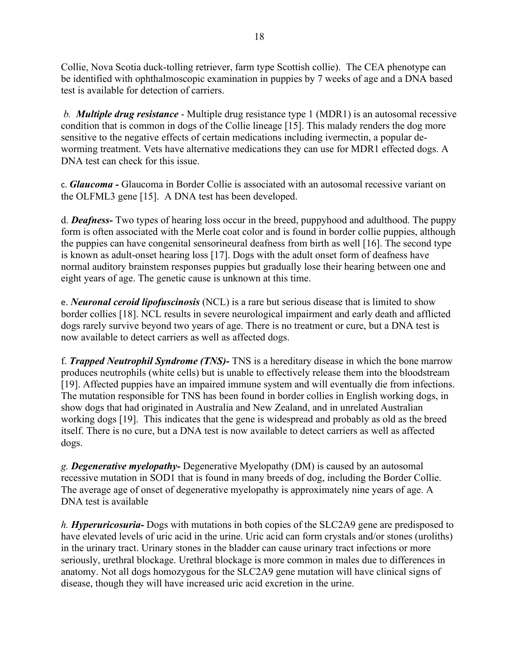Collie, Nova Scotia duck-tolling retriever, farm type Scottish collie). The CEA phenotype can be identified with ophthalmoscopic examination in puppies by 7 weeks of age and a DNA based test is available for detection of carriers.

*b. Multiple drug resistance* - Multiple drug resistance type 1 (MDR1) is an autosomal recessive condition that is common in dogs of the Collie lineage [15]. This malady renders the dog more sensitive to the negative effects of certain medications including ivermectin, a popular deworming treatment. Vets have alternative medications they can use for MDR1 effected dogs. A DNA test can check for this issue.

c. *[Glaucoma](https://en.wikipedia.org/wiki/Glaucoma) -* Glaucoma in Border Collie is associated with an autosomal recessive variant on the OLFML3 gene [15]. A DNA test has been developed.

d. *Deafness-* Two types of hearing loss occur in the breed, puppyhood and adulthood. The puppy form is often associated with the Merle coat color and is found in border collie puppies, although the puppies can have congenital sensorineural deafness from birth as well [16]. The second type is known as adult-onset hearing loss [17]. Dogs with the adult onset form of deafness have normal auditory brainstem responses puppies but gradually lose their hearing between one and eight years of age. The genetic cause is unknown at this time.

e. *[Neuronal ceroid lipofuscinosis](https://en.wikipedia.org/wiki/Neuronal_ceroid_lipofuscinosis)* (NCL) is a rare but serious disease that is limited to show border collies [18]. NCL results in severe [neurological](https://en.wikipedia.org/wiki/Neurology) impairment and early death and afflicted dogs rarely survive beyond two years of age. There is no treatment or cure, but a [DNA](https://en.wikipedia.org/wiki/DNA) test is now available to detect carriers as well as affected dogs.

f. *Trapped Neutrophil Syndrome (TNS)-* TNS is a hereditary disease in which the bone marrow produces [neutrophils](https://en.wikipedia.org/wiki/Neutrophil) (white cells) but is unable to effectively release them into the bloodstream [19]. Affected puppies have an impaired immune system and will eventually die from infections. The mutation responsible for TNS has been found in border collies in English working dogs, in show dogs that had originated in Australia and New Zealand, and in unrelated Australian working dogs [19]. This indicates that the gene is widespread and probably as old as the breed itself. There is no cure, but a [DNA](https://en.wikipedia.org/wiki/DNA) test is now available to detect carriers as well as affected dogs.

*g. Degenerative myelopathy-* Degenerative Myelopathy (DM) is caused by an autosomal recessive mutation in SOD1 that is found in many breeds of dog, including the Border Collie. The average age of onset of degenerative myelopathy is approximately nine years of age. A DNA test is available

*h. Hyperuricosuria-* Dogs with mutations in both copies of the SLC2A9 gene are predisposed to have elevated levels of uric acid in the urine. Uric acid can form crystals and/or stones (uroliths) in the urinary tract. Urinary stones in the bladder can cause urinary tract infections or more seriously, urethral blockage. Urethral blockage is more common in males due to differences in anatomy. Not all dogs homozygous for the SLC2A9 gene mutation will have clinical signs of disease, though they will have increased uric acid excretion in the urine.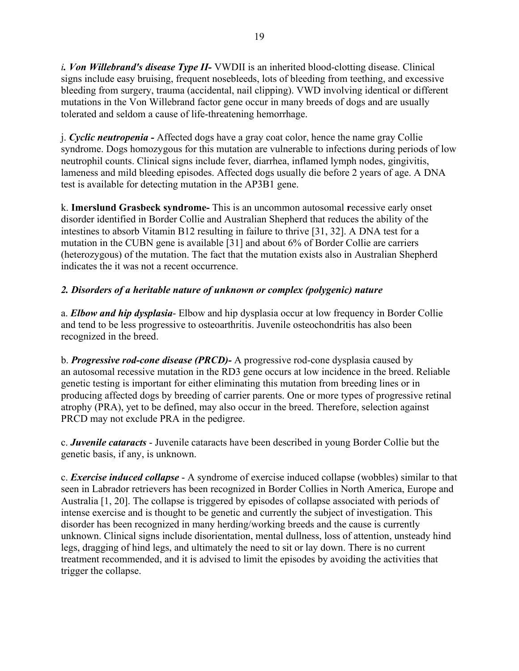*i. Von Willebrand's disease Type II-* VWDII is an inherited blood-clotting disease. Clinical signs include easy bruising, frequent nosebleeds, lots of bleeding from teething, and excessive bleeding from surgery, trauma (accidental, nail clipping). VWD involving identical or different mutations in the Von Willebrand factor gene occur in many breeds of dogs and are usually tolerated and seldom a cause of life-threatening hemorrhage.

j. *Cyclic neutropenia -* Affected dogs have a gray coat color, hence the name gray Collie syndrome. Dogs homozygous for this mutation are vulnerable to infections during periods of low neutrophil counts. Clinical signs include fever, diarrhea, inflamed lymph nodes, gingivitis, lameness and mild bleeding episodes. Affected dogs usually die before 2 years of age. A DNA test is available for detecting mutation in the AP3B1 gene.

k. **Imerslund Grasbeck syndrome-** This is an uncommon autosomal **r**ecessive early onset disorder identified in Border Collie and Australian Shepherd that reduces the ability of the intestines to absorb Vitamin B12 resulting in failure to thrive [31, 32]. A DNA test for a mutation in the CUBN gene is available [31] and about 6% of Border Collie are carriers (heterozygous) of the mutation. The fact that the mutation exists also in Australian Shepherd indicates the it was not a recent occurrence.

# *2. Disorders of a heritable nature of unknown or complex (polygenic) nature*

a. *Elbow and hip dysplasia*- Elbow and hip dysplasia occur at low frequency in Border Collie and tend to be less progressive to osteoarthritis. Juvenile osteochondritis has also been recognized in the breed.

b. *Progressive rod-cone disease (PRCD)-* A progressive rod-cone dysplasia caused by an [autosomal recessive](https://www.pawprintgenetics.com/glossary/#Autosomal%20Recessive) mutation in the RD3 gene occurs at low incidence in the breed. Reliable genetic testing is important for either eliminating this mutation from breeding lines or in producing affected dogs by breeding of carrier parents. One or more types of progressive retinal atrophy (PRA), yet to be defined, may also occur in the breed. Therefore, selection against PRCD may not exclude PRA in the pedigree.

c. *Juvenile cataracts* - Juvenile cataracts have been described in young Border Collie but the genetic basis, if any, is unknown.

c. *Exercise induced collapse* - A syndrome of exercise induced collapse (wobbles) similar to that seen in Labrador retrievers has been recognized in Border Collies in North America, Europe and Australia [1, 20]. The collapse is triggered by episodes of collapse associated with periods of intense exercise and is thought to be genetic and currently the subject of investigation. This disorder has been recognized in many herding/working breeds and the cause is currently unknown. Clinical signs include disorientation, mental dullness, loss of attention, unsteady hind legs, dragging of hind legs, and ultimately the need to sit or lay down. There is no current treatment recommended, and it is advised to limit the episodes by avoiding the activities that trigger the collapse.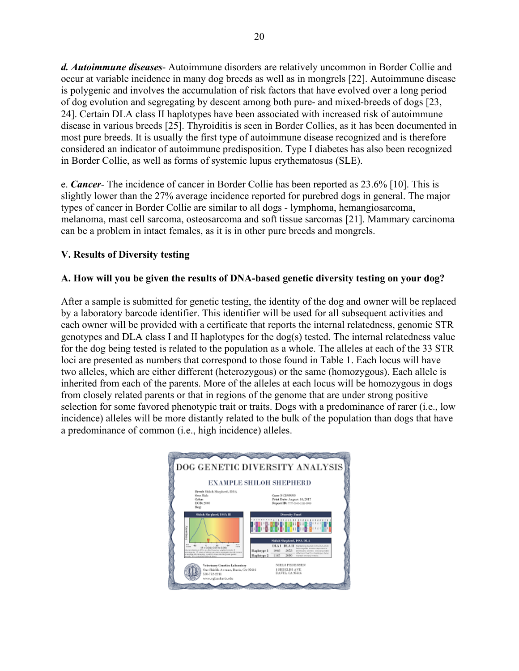*d. Autoimmune diseases*- Autoimmune disorders are relatively uncommon in Border Collie and occur at variable incidence in many dog breeds as well as in mongrels [22]. Autoimmune disease is polygenic and involves the accumulation of risk factors that have evolved over a long period of dog evolution and segregating by descent among both pure- and mixed-breeds of dogs [23, 24]. Certain DLA class II haplotypes have been associated with increased risk of autoimmune disease in various breeds [25]. Thyroiditis is seen in Border Collies, as it has been documented in most pure breeds. It is usually the first type of autoimmune disease recognized and is therefore considered an indicator of autoimmune predisposition. Type I diabetes has also been recognized in Border Collie, as well as forms of systemic lupus erythematosus (SLE).

e. *Cancer*- The incidence of cancer in Border Collie has been reported as 23.6% [10]. This is slightly lower than the 27% average incidence reported for purebred dogs in general. The major types of cancer in Border Collie are similar to all dogs - lymphoma, hemangiosarcoma, melanoma, mast cell sarcoma, osteosarcoma and soft tissue sarcomas [21]. Mammary carcinoma can be a problem in intact females, as it is in other pure breeds and mongrels.

## **V. Results of Diversity testing**

## **A. How will you be given the results of DNA-based genetic diversity testing on your dog?**

After a sample is submitted for genetic testing, the identity of the dog and owner will be replaced by a laboratory barcode identifier. This identifier will be used for all subsequent activities and each owner will be provided with a certificate that reports the internal relatedness, genomic STR genotypes and DLA class I and II haplotypes for the dog(s) tested. The internal relatedness value for the dog being tested is related to the population as a whole. The alleles at each of the 33 STR loci are presented as numbers that correspond to those found in Table 1. Each locus will have two alleles, which are either different (heterozygous) or the same (homozygous). Each allele is inherited from each of the parents. More of the alleles at each locus will be homozygous in dogs from closely related parents or that in regions of the genome that are under strong positive selection for some favored phenotypic trait or traits. Dogs with a predominance of rarer (i.e., low incidence) alleles will be more distantly related to the bulk of the population than dogs that have a predominance of common (i.e., high incidence) alleles.

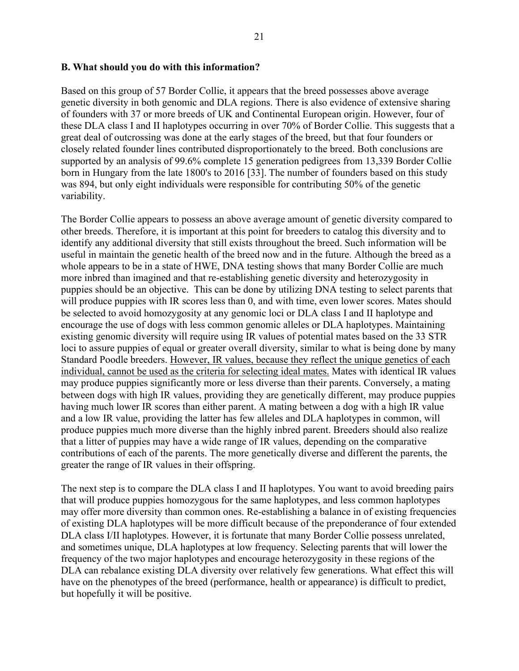#### **B. What should you do with this information?**

Based on this group of 57 Border Collie, it appears that the breed possesses above average genetic diversity in both genomic and DLA regions. There is also evidence of extensive sharing of founders with 37 or more breeds of UK and Continental European origin. However, four of these DLA class I and II haplotypes occurring in over 70% of Border Collie. This suggests that a great deal of outcrossing was done at the early stages of the breed, but that four founders or closely related founder lines contributed disproportionately to the breed. Both conclusions are supported by an analysis of 99.6% complete 15 generation pedigrees from 13,339 Border Collie born in Hungary from the late 1800's to 2016 [33]. The number of founders based on this study was 894, but only eight individuals were responsible for contributing 50% of the genetic variability.

The Border Collie appears to possess an above average amount of genetic diversity compared to other breeds. Therefore, it is important at this point for breeders to catalog this diversity and to identify any additional diversity that still exists throughout the breed. Such information will be useful in maintain the genetic health of the breed now and in the future. Although the breed as a whole appears to be in a state of HWE, DNA testing shows that many Border Collie are much more inbred than imagined and that re-establishing genetic diversity and heterozygosity in puppies should be an objective. This can be done by utilizing DNA testing to select parents that will produce puppies with IR scores less than 0, and with time, even lower scores. Mates should be selected to avoid homozygosity at any genomic loci or DLA class I and II haplotype and encourage the use of dogs with less common genomic alleles or DLA haplotypes. Maintaining existing genomic diversity will require using IR values of potential mates based on the 33 STR loci to assure puppies of equal or greater overall diversity, similar to what is being done by many Standard Poodle breeders. However, IR values, because they reflect the unique genetics of each individual, cannot be used as the criteria for selecting ideal mates. Mates with identical IR values may produce puppies significantly more or less diverse than their parents. Conversely, a mating between dogs with high IR values, providing they are genetically different, may produce puppies having much lower IR scores than either parent. A mating between a dog with a high IR value and a low IR value, providing the latter has few alleles and DLA haplotypes in common, will produce puppies much more diverse than the highly inbred parent. Breeders should also realize that a litter of puppies may have a wide range of IR values, depending on the comparative contributions of each of the parents. The more genetically diverse and different the parents, the greater the range of IR values in their offspring.

The next step is to compare the DLA class I and II haplotypes. You want to avoid breeding pairs that will produce puppies homozygous for the same haplotypes, and less common haplotypes may offer more diversity than common ones. Re-establishing a balance in of existing frequencies of existing DLA haplotypes will be more difficult because of the preponderance of four extended DLA class I/II haplotypes. However, it is fortunate that many Border Collie possess unrelated, and sometimes unique, DLA haplotypes at low frequency. Selecting parents that will lower the frequency of the two major haplotypes and encourage heterozygosity in these regions of the DLA can rebalance existing DLA diversity over relatively few generations. What effect this will have on the phenotypes of the breed (performance, health or appearance) is difficult to predict, but hopefully it will be positive.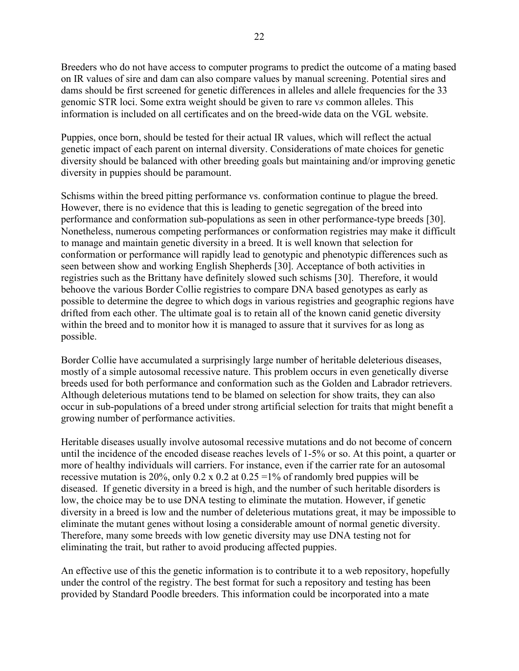Breeders who do not have access to computer programs to predict the outcome of a mating based on IR values of sire and dam can also compare values by manual screening. Potential sires and dams should be first screened for genetic differences in alleles and allele frequencies for the 33 genomic STR loci. Some extra weight should be given to rare v*s* common alleles. This information is included on all certificates and on the breed-wide data on the VGL website.

Puppies, once born, should be tested for their actual IR values, which will reflect the actual genetic impact of each parent on internal diversity. Considerations of mate choices for genetic diversity should be balanced with other breeding goals but maintaining and/or improving genetic diversity in puppies should be paramount.

Schisms within the breed pitting performance vs. conformation continue to plague the breed. However, there is no evidence that this is leading to genetic segregation of the breed into performance and conformation sub-populations as seen in other performance-type breeds [30]. Nonetheless, numerous competing performances or conformation registries may make it difficult to manage and maintain genetic diversity in a breed. It is well known that selection for conformation or performance will rapidly lead to genotypic and phenotypic differences such as seen between show and working English Shepherds [30]. Acceptance of both activities in registries such as the Brittany have definitely slowed such schisms [30]. Therefore, it would behoove the various Border Collie registries to compare DNA based genotypes as early as possible to determine the degree to which dogs in various registries and geographic regions have drifted from each other. The ultimate goal is to retain all of the known canid genetic diversity within the breed and to monitor how it is managed to assure that it survives for as long as possible.

Border Collie have accumulated a surprisingly large number of heritable deleterious diseases, mostly of a simple autosomal recessive nature. This problem occurs in even genetically diverse breeds used for both performance and conformation such as the Golden and Labrador retrievers. Although deleterious mutations tend to be blamed on selection for show traits, they can also occur in sub-populations of a breed under strong artificial selection for traits that might benefit a growing number of performance activities.

Heritable diseases usually involve autosomal recessive mutations and do not become of concern until the incidence of the encoded disease reaches levels of 1-5% or so. At this point, a quarter or more of healthy individuals will carriers. For instance, even if the carrier rate for an autosomal recessive mutation is 20%, only 0.2 x 0.2 at 0.25 =  $1\%$  of randomly bred puppies will be diseased. If genetic diversity in a breed is high, and the number of such heritable disorders is low, the choice may be to use DNA testing to eliminate the mutation. However, if genetic diversity in a breed is low and the number of deleterious mutations great, it may be impossible to eliminate the mutant genes without losing a considerable amount of normal genetic diversity. Therefore, many some breeds with low genetic diversity may use DNA testing not for eliminating the trait, but rather to avoid producing affected puppies.

An effective use of this the genetic information is to contribute it to a web repository, hopefully under the control of the registry. The best format for such a repository and testing has been provided by Standard Poodle breeders. This information could be incorporated into a mate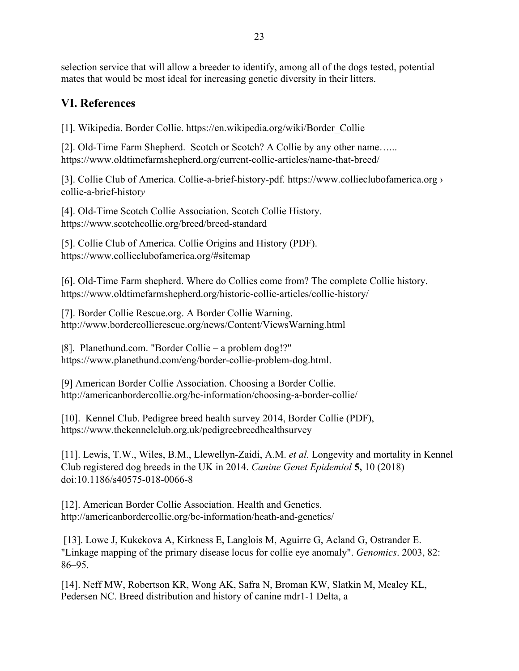23

selection service that will allow a breeder to identify, among all of the dogs tested, potential mates that would be most ideal for increasing genetic diversity in their litters.

# **VI. References**

[1]. Wikipedia. Border Collie. https://en.wikipedia.org/wiki/Border\_Collie

[2]. Old-Time Farm Shepherd. Scotch or Scotch? A Collie by any other name...... https://www.oldtimefarmshepherd.org/current-collie-articles/name-that-breed/

[3]. Collie Club of America. Collie-a-brief-history-pdf*.* [https://www.collieclubofamerica.org ›](https://www.google.com/url?sa=t&rct=j&q=&esrc=s&source=web&cd=14&ved=2ahUKEwi_79PhjKnmAhVJqJ4KHZeLDNIQFjANegQIChAC&url=https%3A%2F%2Fwww.collieclubofamerica.org%2Fcollie-a-brief-history.pdf&usg=AOvVaw35uP91ba3CR2I3AYBSms9t)  [collie-a-brief-histor](https://www.google.com/url?sa=t&rct=j&q=&esrc=s&source=web&cd=14&ved=2ahUKEwi_79PhjKnmAhVJqJ4KHZeLDNIQFjANegQIChAC&url=https%3A%2F%2Fwww.collieclubofamerica.org%2Fcollie-a-brief-history.pdf&usg=AOvVaw35uP91ba3CR2I3AYBSms9t)*y*

[4]. Old-Time Scotch Collie Association. Scotch Collie History. https://www.scotchcollie.org/breed/breed-standard

[5]. Collie Club of America. Collie Origins and History (PDF). https://www.collieclubofamerica.org/#sitemap

[6]. Old-Time Farm shepherd. Where do Collies come from? The complete Collie history. https://www.oldtimefarmshepherd.org/historic-collie-articles/collie-history/

[7]. Border Collie Rescue.org. [A Border Collie Warning.](https://web.archive.org/web/19970530204911/http:/www.bcrescue.org/bcwarning.html) http://www.bordercollierescue.org/news/Content/ViewsWarning.html

[8]. Planethund.com. "Border Collie – [a problem dog!?"](http://www.planethund.com/eng/border-collie-problem-dog-1809.html) https://www.planethund.com/eng/border-collie-problem-dog.html.

[9] American Border Collie Association. Choosing a Border Collie. http://americanbordercollie.org/bc-information/choosing-a-border-collie/

[10]. Kennel Club. Pedigree breed health survey 2014, Border Collie (PDF), https://www.thekennelclub.org.uk/pedigreebreedhealthsurvey

[11]. Lewis, T.W., Wiles, B.M., Llewellyn-Zaidi, A.M. *et al.* Longevity and mortality in Kennel Club registered dog breeds in the UK in 2014. *Canine Genet Epidemiol* **5,** 10 (2018) doi:10.1186/s40575-018-0066-8

[12]. American Border Collie Association. [Health and Genetics.](http://americanbordercollie.org/bc-information/heath-and-genetics/) http://americanbordercollie.org/bc-information/heath-and-genetics/

[13]. Lowe J, Kukekova A, Kirkness E, Langlois M, Aguirre G, Acland G, Ostrander E. "Linkage mapping of the primary disease locus for collie eye anomaly". *Genomics*. 2003, 82: 86–95.

[14]. Neff MW, Robertson KR, Wong AK, Safra N, Broman KW, Slatkin M, Mealey KL, Pedersen NC. Breed distribution and history of canine mdr1-1 Delta, a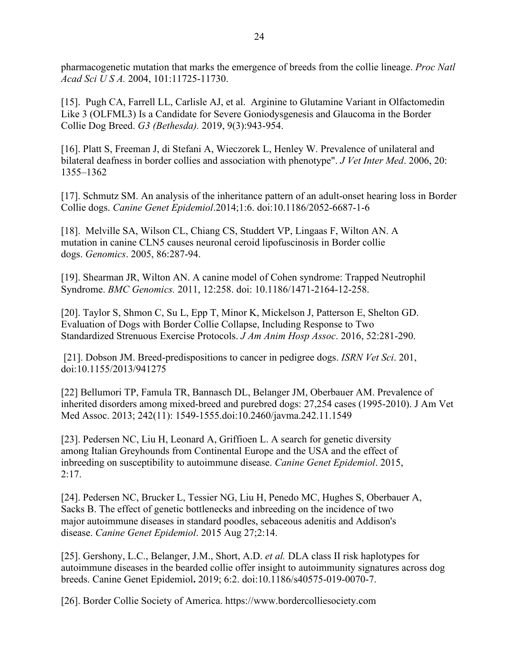pharmacogenetic mutation that marks the emergence of breeds from the collie lineage. *Proc Natl Acad Sci U S A.* 2004, 101:11725-11730.

[15]. Pugh CA, Farrell LL, Carlisle AJ, et al. Arginine to Glutamine Variant in Olfactomedin Like 3 (OLFML3) Is a Candidate for Severe Goniodysgenesis and Glaucoma in the Border Collie Dog Breed. *G3 (Bethesda).* 2019, 9(3):943-954.

[16]. Platt S, Freeman J, di Stefani A, Wieczorek L, Henley W. Prevalence of unilateral and bilateral deafness in border collies and association with phenotype". *J Vet Inter Med*. 2006, 20: 1355–1362

[17]. Schmutz SM. An analysis of the inheritance pattern of an adult-onset hearing loss in Border Collie dogs. *Canine Genet Epidemiol*.2014;1:6. doi:10.1186/2052-6687-1-6

[18]. Melville SA, Wilson CL, Chiang CS, Studdert VP, Lingaas F, Wilton AN. A mutation in canine CLN5 causes neuronal ceroid lipofuscinosis in Border collie dogs. *Genomics*. 2005, 86:287-94.

[19]. Shearman JR, Wilton AN. A canine model of Cohen syndrome: Trapped Neutrophil Syndrome. *BMC Genomics.* 2011, 12:258. doi: 10.1186/1471-2164-12-258.

[20]. Taylor S, Shmon C, Su L, Epp T, Minor K, Mickelson J, Patterson E, Shelton GD. Evaluation of Dogs with Border Collie Collapse, Including Response to Two Standardized Strenuous Exercise Protocols. *J Am Anim Hosp Assoc*. 2016, 52:281-290.

[21]. Dobson JM. Breed-predispositions to cancer in pedigree dogs. *ISRN Vet Sci*. 201, doi:10.1155/2013/941275

[22] Bellumori TP, Famula TR, Bannasch DL, Belanger JM, Oberbauer AM. Prevalence of inherited disorders among mixed-breed and purebred dogs: 27,254 cases (1995-2010). J Am Vet Med Assoc. 2013; 242(11): 1549-1555.doi:10.2460/javma.242.11.1549

[23]. Pedersen NC, Liu H, Leonard A, Griffioen L. A search for genetic diversity among Italian Greyhounds from Continental Europe and the USA and the effect of inbreeding on susceptibility to autoimmune disease. *Canine Genet Epidemiol*. 2015, 2:17.

[24]. Pedersen NC, Brucker L, Tessier NG, Liu H, Penedo MC, Hughes S, Oberbauer A, Sacks B. The effect of genetic bottlenecks and inbreeding on the incidence of two major autoimmune diseases in standard poodles, sebaceous adenitis and Addison's disease. *Canine Genet Epidemiol*. 2015 Aug 27;2:14.

[25]. Gershony, L.C., Belanger, J.M., Short, A.D. *et al.* DLA class II risk haplotypes for autoimmune diseases in the bearded collie offer insight to autoimmunity signatures across dog breeds. Canine Genet Epidemiol**.** 2019; 6:2. doi:10.1186/s40575-019-0070-7.

[26]. Border Collie Society of America. https://www.bordercolliesociety.com